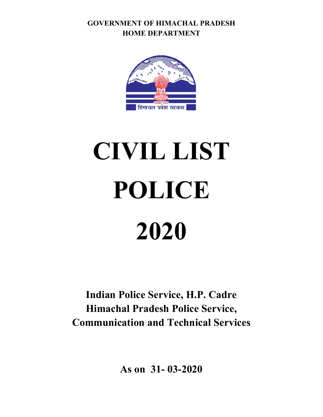**GOVERNMENT OF HIMACHAL PRADESH HOME DEPARTMENT** 



# **CIVIL LIST POLICE 2020**

**Indian Police Service, H.P. Cadre Himachal Pradesh Police Service, Communication and Technical Services** 

**As on 31- 03-2020**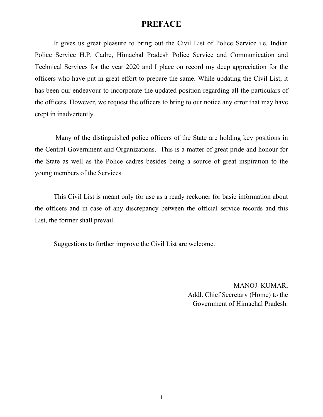# **PREFACE**

It gives us great pleasure to bring out the Civil List of Police Service i.e. Indian Police Service H.P. Cadre, Himachal Pradesh Police Service and Communication and Technical Services for the year 2020 and I place on record my deep appreciation for the officers who have put in great effort to prepare the same. While updating the Civil List, it has been our endeavour to incorporate the updated position regarding all the particulars of the officers. However, we request the officers to bring to our notice any error that may have crept in inadvertently.

 Many of the distinguished police officers of the State are holding key positions in the Central Government and Organizations. This is a matter of great pride and honour for the State as well as the Police cadres besides being a source of great inspiration to the young members of the Services.

 This Civil List is meant only for use as a ready reckoner for basic information about the officers and in case of any discrepancy between the official service records and this List, the former shall prevail.

Suggestions to further improve the Civil List are welcome.

 MANOJ KUMAR, Addl. Chief Secretary (Home) to the Government of Himachal Pradesh.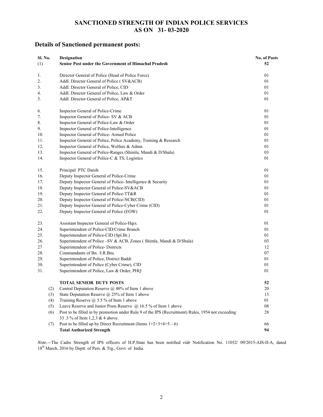### **SANCTIONED STRENGTH OF INDIAN POLICE SERVICES AS ON 31- 03-2020**

### **Details of Sanctioned permanent posts:**

| Sl. No. |     | <b>Designation</b>                                                                                | <b>No. of Posts</b> |
|---------|-----|---------------------------------------------------------------------------------------------------|---------------------|
| (1)     |     | Senior Post under the Government of Himachal Pradesh                                              | 52                  |
| 1.      |     | Director General of Police (Head of Police Force)                                                 | 01                  |
| 2.      |     | Addl. Director General of Police (SV&ACB)                                                         | 01                  |
| 3.      |     | Addl. Director General of Police, CID                                                             | 01                  |
| 4.      |     | Addl. Director General of Police, Law & Order                                                     | 01                  |
| 5.      |     | Addl. Director General of Police, AP&T                                                            | 01                  |
| 6.      |     | Inspector General of Police-Crime                                                                 | 01                  |
| 7.      |     | Inspector General of Police- SV & ACB                                                             | 01                  |
| 8.      |     | Inspector General of Police-Law & Order                                                           | 01                  |
| 9.      |     | Inspector General of Police-Intelligence                                                          | 01                  |
| 10.     |     | Inspector General of Police-Armed Police                                                          | 01                  |
| 11.     |     | Inspector General of Police, Police Academy, Training & Research                                  | 01                  |
| 12.     |     | Inspector General of Police, Welfare & Admn.                                                      | 01                  |
| 13.     |     | Inspector General of Police-Ranges (Shimla, Mandi & D/Shala)                                      | 03                  |
| 14.     |     | Inspector General of Police-C & TS, Logistics                                                     | 01                  |
| 15.     |     | Principal PTC Daroh                                                                               | 01                  |
| 16.     |     | Deputy Inspector General of Police-Crime                                                          | 01                  |
| 17.     |     | Deputy Inspector General of Police-Intelligence & Security                                        | 01                  |
| 18.     |     | Deputy Inspector General of Police-SV&ACB                                                         | 01                  |
| 19.     |     | Deputy Inspector General of Police-TT&R                                                           | 01                  |
| 20.     |     | Deputy Inspector General of Police-NCB(CID)                                                       | 01                  |
| 21.     |     | Deputy Inspector General of Police-Cyber Crime (CID)                                              | 01                  |
| 22.     |     | Deputy Inspector General of Police (EOW)                                                          | 01                  |
| 23.     |     | Assistant Inspector General of Police-Hqrs.                                                       | 01                  |
| 24.     |     | Superintendent of Police-CID/Crime Branch                                                         | 01                  |
| 25.     |     | Superintendent of Police-CID (Spl.Br.)                                                            | 01                  |
| 26.     |     | Superintendent of Police - SV & ACB, Zones (Shimla, Mandi & D/Shala)                              | 03                  |
| 27      |     | Superintendent of Police-Districts                                                                | 12                  |
| 28.     |     | Commandants of Bn. /I.R.Bns.                                                                      | 07                  |
| 29.     |     | Superintendent of Police, District Baddi                                                          | 01                  |
| 30.     |     | Superintendent of Police (Cyber Crime), CID                                                       | 01                  |
| 31.     |     | Superintendent of Police, Law & Order, PHQ                                                        | 01                  |
|         |     | <b>TOTAL SENIOR DUTY POSTS</b>                                                                    | 52                  |
|         | (2) | Central Deputation Reserve @ 40% of Item 1 above                                                  | $20\,$              |
|         | (3) | State Deputation Reserve @ 25% of Item 1 above                                                    | 13                  |
|         | (4) | Training Reserve $\omega$ 3.5 % of Item 1 above                                                   | 01                  |
|         | (5) | Leave Reserve and Junior Posts Reserve @ 16.5 % of Item 1 above                                   | 08                  |
|         | (6) | Post to be filled in by promotion under Rule 9 of the IPS (Recruitment) Rules, 1954 not exceeding | 28                  |
|         |     | 33.3 % of Item 1,2,3 & 4 above.                                                                   |                     |
|         | (7) | Post to be filled up by Direct Recruitment (Items 1+2+3+4+5-6)                                    | 66                  |
|         |     | <b>Total Authorized Strength</b>                                                                  | 94                  |

*Note.—*The Cadre Strength of IPS officers of H.P.State has been notified *vide* Notification No. 11052/ 09/2015-AIS-II-A, dated 18<sup>th</sup> March, 2016 by Deptt. of Pers. & Trg., Govt. of India.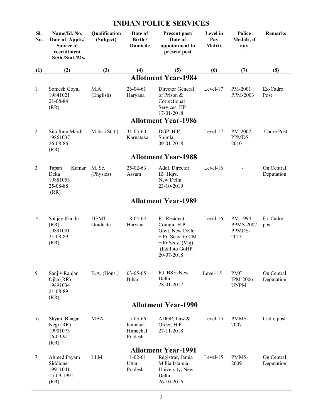| SI.<br>No. | Name/Id. No.<br>Date of Apptt./<br>Source of<br>recruitment<br>S/Sh./Smt./Ms. | Qualification<br>(Subject) | Date of<br>Birth /<br>Domicile              | Present post/<br>Date of<br>appointment to<br>present post                                                                  | Level in<br>Pay<br><b>Matrix</b> | <b>Police</b><br>Medals, if<br>any            | <b>Remarks</b>           |
|------------|-------------------------------------------------------------------------------|----------------------------|---------------------------------------------|-----------------------------------------------------------------------------------------------------------------------------|----------------------------------|-----------------------------------------------|--------------------------|
| (1)        | (2)                                                                           | (3)                        | (4)                                         | (5)                                                                                                                         | (6)                              | (7)                                           | (8)                      |
|            |                                                                               |                            |                                             | <b>Allotment Year-1984</b>                                                                                                  |                                  |                                               |                          |
| 1.         | Somesh Goyal<br>19841021<br>21-08-84<br>(RR)                                  | M.A.<br>(English)          | $26 - 04 - 61$<br>Haryana                   | Director General<br>of Prison &<br>Correctional<br>Services, HP<br>17-01-2018                                               | Level-17                         | PM-2001<br>PPM-2003                           | Ex-Cadre<br>Post         |
|            |                                                                               |                            |                                             | <b>Allotment Year-1986</b>                                                                                                  |                                  |                                               |                          |
| 2.         | Sita Ram Mardi<br>19861037<br>26-08-86<br>(RR)                                | M.Sc. (Stat.)              | $31 - 05 - 60$<br>Karnataka                 | DGP, H.P.<br>Shimla<br>09-01-2018                                                                                           | Level-17                         | PM-2002<br>PPMDS-<br>2010                     | Cadre Post               |
|            |                                                                               |                            |                                             | <b>Allotment Year-1988</b>                                                                                                  |                                  |                                               |                          |
| 3.         | Kumar<br>Tapan<br>Deka<br>19881053<br>25-08-88<br>(RR)                        | M. Sc.<br>(Physics)        | $25 - 02 - 63$<br>Assam                     | Addl. Director,<br>IB Hqrs.<br>New Delhi<br>23-10-2019                                                                      | Level-16                         |                                               | On Central<br>Deputation |
|            |                                                                               |                            |                                             | <b>Allotment Year-1989</b>                                                                                                  |                                  |                                               |                          |
|            |                                                                               |                            |                                             |                                                                                                                             |                                  |                                               |                          |
| 4.         | Sanjay Kundu<br>(RR)<br>19891001<br>21-08-89<br>(RR)                          | <b>DEMT</b><br>Graduate    | 18-04-64<br>Haryana                         | Pr. Resident<br>Commr. H.P.<br>Govt. New Delhi<br>$+$ Pr. Secy. to CM<br>$+$ Pr. Secy. (Vig)<br>(E&T)to GoHP.<br>20-07-2018 | Level-16                         | PM-1994<br><b>PPMS-2007</b><br>PPMDS-<br>2013 | Ex-Cadre<br>post         |
| 5.         | Sanjiv Ranjan<br>$Ojha$ (RR)<br>19891034<br>21-08-89<br>(RR)                  | $B.A.$ (Hons.)             | $03 - 05 - 65$<br>Bihar                     | IG, BSF, New<br>Delhi.<br>28-01-2017                                                                                        | Level-15                         | <b>PMG</b><br><b>IPM-2006</b><br><b>UNPM</b>  | On Central<br>Deputation |
|            |                                                                               |                            |                                             | <b>Allotment Year-1990</b>                                                                                                  |                                  |                                               |                          |
| 6.         | Shyam Bhagat<br>Negi $(RR)$<br>19901073<br>16-09-91<br>(RR)                   | <b>MBA</b>                 | 15-03-66<br>Kinnaur,<br>Himachal<br>Pradesh | ADGP, Law &<br>Order, H.P.<br>27-11-2018                                                                                    | Level-15                         | PMMS-<br>2007                                 | Cadre post               |
| 7.         | Ahmed Payam<br>Siddique<br>19911041<br>15-09-1991<br>(RR)                     | <b>LLM</b>                 | $11-02-61$<br>Uttar<br>Pradesh              | <b>Allotment Year-1991</b><br>Registrar, Jamia<br>Millia Islamia<br>University, New<br>Delhi.<br>26-10-2016                 | Level-15                         | PMMS-<br>2009                                 | On Central<br>Deputation |

# **INDIAN POLICE SERVICES**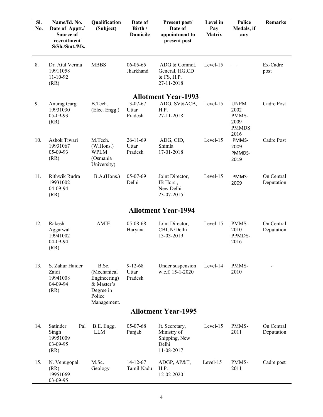| SI.<br>No. | Name/Id. No.<br>Date of Apptt./<br>Source of<br>recruitment<br>S/Sh./Smt./Ms. | Qualification<br>(Subject)                                                               | Date of<br>Birth /<br><b>Domicile</b> | Present post/<br>Date of<br>appointment to<br>present post            | Level in<br>Pay<br><b>Matrix</b> | <b>Police</b><br>Medals, if<br>any                           | <b>Remarks</b>           |
|------------|-------------------------------------------------------------------------------|------------------------------------------------------------------------------------------|---------------------------------------|-----------------------------------------------------------------------|----------------------------------|--------------------------------------------------------------|--------------------------|
| 8.         | Dr. Atul Verma<br>19911058<br>$11 - 10 - 92$<br>(RR)                          | <b>MBBS</b>                                                                              | $06 - 05 - 65$<br>Jharkhand           | ADG & Comndt.<br>General, HG,CD<br>& FS, H.P.<br>27-11-2018           | Level-15                         |                                                              | Ex-Cadre<br>post         |
|            |                                                                               |                                                                                          |                                       | <b>Allotment Year-1993</b>                                            |                                  |                                                              |                          |
| 9.         | Anurag Garg<br>19931030<br>05-09-93<br>(RR)                                   | B.Tech.<br>(Elec. Engg.)                                                                 | 13-07-67<br>Uttar<br>Pradesh          | ADG, SV&ACB,<br>H.P.<br>27-11-2018                                    | Level-15                         | <b>UNPM</b><br>2002<br>PMMS-<br>2009<br><b>PMMDS</b><br>2016 | Cadre Post               |
| 10.        | Ashok Tiwari<br>19931067<br>05-09-93<br>(RR)                                  | M.Tech.<br>(W.Hons.)<br><b>WPLM</b><br>(Osmania<br>University)                           | $26 - 11 - 69$<br>Uttar<br>Pradesh    | ADG, CID,<br>Shimla<br>17-01-2018                                     | Level-15                         | PMMS-<br>2009<br>PMMDS-<br>2019                              | Cadre Post               |
| 11.        | Rithwik Rudra<br>19931002<br>04-09-94<br>(RR)                                 | B.A.(Hons.)                                                                              | $05-07-69$<br>Delhi                   | Joint Director,<br>IB Hqrs.,<br>New Delhi<br>23-07-2015               | Level-15                         | PMMS-<br>2009                                                | On Central<br>Deputation |
|            |                                                                               |                                                                                          |                                       | <b>Allotment Year-1994</b>                                            |                                  |                                                              |                          |
| 12.        | Rakesh<br>Aggarwal<br>19941002<br>04-09-94<br>(RR)                            | <b>AMIE</b>                                                                              | 05-08-68<br>Haryana                   | Joint Director,<br>CBI, N/Delhi<br>13-03-2019                         | Level-15                         | PMMS-<br>2010<br>PPMDS-<br>2016                              | On Central<br>Deputation |
| 13.        | S. Zahur Haider<br>Zaidi<br>19941008<br>04-09-94<br>(RR)                      | B.Sc.<br>(Mechanical<br>Engineering)<br>& Master's<br>Degree in<br>Police<br>Management. | $9 - 12 - 68$<br>Uttar<br>Pradesh     | Under suspension<br>w.e.f. 15-1-2020                                  | Level-14                         | PMMS-<br>2010                                                |                          |
|            |                                                                               |                                                                                          |                                       | <b>Allotment Year-1995</b>                                            |                                  |                                                              |                          |
| 14.        | Satinder<br>Pal<br>Singh<br>19951009<br>03-09-95<br>(RR)                      | B.E. Engg.<br><b>LLM</b>                                                                 | 05-07-68<br>Punjab                    | Jt. Secretary,<br>Ministry of<br>Shipping, New<br>Delhi<br>11-08-2017 | Level-15                         | PMMS-<br>2011                                                | On Central<br>Deputation |
| 15.        | N. Venugopal<br>(RR)<br>19951069<br>03-09-95                                  | M.Sc.<br>Geology                                                                         | $14-12-67$<br>Tamil Nadu              | ADGP, AP&T,<br>H.P.<br>12-02-2020                                     | Level-15                         | PMMS-<br>2011                                                | Cadre post               |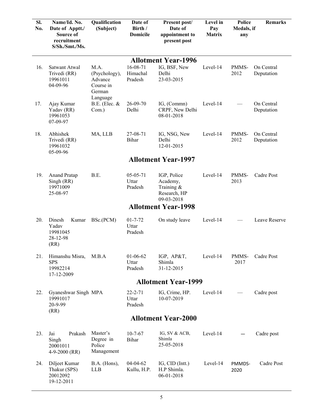| Sl.<br>No. | Name/Id. No.<br>Date of Apptt./<br>Source of<br>recruitment<br>S/Sh./Smt./Ms. | Qualification<br>(Subject)                              | Date of<br>Birth /<br><b>Domicile</b> | Present post/<br>Date of<br>appointment to<br>present post             | Level in<br>Pay<br><b>Matrix</b> | Police<br>Medals, if<br>any | <b>Remarks</b>           |  |  |
|------------|-------------------------------------------------------------------------------|---------------------------------------------------------|---------------------------------------|------------------------------------------------------------------------|----------------------------------|-----------------------------|--------------------------|--|--|
|            |                                                                               |                                                         |                                       | <b>Allotment Year-1996</b>                                             |                                  |                             |                          |  |  |
| 16.        | Satwant Atwal<br>Trivedi (RR)<br>19961011<br>04-09-96                         | M.A.<br>(Psychology),<br>Advance<br>Course in<br>German | 16-08-71<br>Himachal<br>Pradesh       | IG, BSF, New<br>Delhi<br>23-03-2015                                    | Level-14                         | PMMS-<br>2012               | On Central<br>Deputation |  |  |
| 17.        | Ajay Kumar<br>Yadav (RR)<br>19961053<br>07-09-97                              | Language<br>$B.E.$ (Elec. $&$<br>Com.)                  | $26 - 09 - 70$<br>Delhi               | IG, (Commn)<br>CRPF, New Delhi<br>08-01-2018                           | Level-14                         |                             | On Central<br>Deputation |  |  |
| 18.        | Abhishek<br>Trivedi (RR)<br>19961032<br>05-09-96                              | MA, LLB                                                 | 27-08-71<br>Bihar                     | IG, NSG, New<br>Delhi<br>12-01-2015                                    | Level-14                         | PMMS-<br>2012               | On Central<br>Deputation |  |  |
|            | <b>Allotment Year-1997</b>                                                    |                                                         |                                       |                                                                        |                                  |                             |                          |  |  |
|            |                                                                               |                                                         |                                       |                                                                        |                                  |                             |                          |  |  |
| 19.        | <b>Anand Pratap</b><br>Singh (RR)<br>19971009<br>25-08-97                     | B.E.                                                    | 05-05-71<br>Uttar<br>Pradesh          | IGP, Police<br>Academy,<br>Training $\&$<br>Research, HP<br>09-03-2018 | Level-14                         | PMMS-<br>2013               | Cadre Post               |  |  |
|            |                                                                               |                                                         |                                       | <b>Allotment Year-1998</b>                                             |                                  |                             |                          |  |  |
| 20.        | Dinesh<br>Kumar<br>Yadav<br>19981045<br>28-12-98<br>(RR)                      | BSc.(PCM)                                               | $01 - 7 - 72$<br>Uttar<br>Pradesh     | On study leave                                                         | Level-14                         |                             | Leave Reserve            |  |  |
| 21.        | Himanshu Misra,<br><b>SPS</b><br>19982214<br>17-12-2009                       | M.B.A                                                   | $01 - 06 - 62$<br>Uttar<br>Pradesh    | IGP, AP&T,<br>Shimla<br>31-12-2015                                     | Level-14                         | PMMS-<br>2017               | Cadre Post               |  |  |
|            |                                                                               |                                                         |                                       | <b>Allotment Year-1999</b>                                             |                                  |                             |                          |  |  |
| 22.        | Gyaneshwar Singh MPA<br>19991017<br>20-9-99<br>(RR)                           |                                                         | $22 - 2 - 71$<br>Uttar<br>Pradesh     | IG, Crime, HP.<br>10-07-2019                                           | Level-14                         |                             | Cadre post               |  |  |
|            |                                                                               |                                                         |                                       | <b>Allotment Year-2000</b>                                             |                                  |                             |                          |  |  |
| 23.        | Jai<br>Prakash<br>Singh<br>20001011<br>4-9-2000 $(RR)$                        | Master's<br>Degree in<br>Police<br>Management           | $10 - 7 - 67$<br>Bihar                | IG, SV & ACB,<br>Shimla<br>25-05-2018                                  | Level-14                         |                             | Cadre post               |  |  |
| 24.        | Diljeet Kumar<br>Thakur (SPS)<br>20012092<br>19-12-2011                       | B.A. (Hons),<br><b>LLB</b>                              | 04-04-62<br>Kullu, H.P.               | IG, CID (Int.)<br>H.P Shimla.<br>06-01-2018                            | Level-14                         | PMMDS-<br>2020              | Cadre Post               |  |  |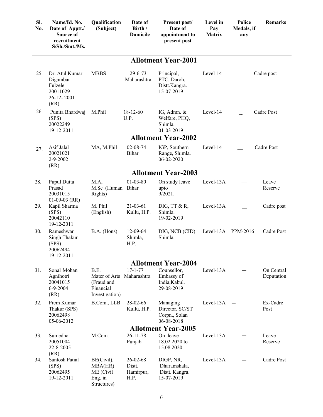| SI.<br>No.                 | Name/Id. No.<br>Date of Apptt./<br>Source of<br>recruitment<br>S/Sh./Smt./Ms. | Qualification<br>(Subject)                                         | Date of<br>Birth /<br><b>Domicile</b>   | Present post/<br>Date of<br>appointment to<br>present post | Level in<br>Pay<br>Matrix | <b>Police</b><br>Medals, if<br>any | <b>Remarks</b>           |  |  |  |
|----------------------------|-------------------------------------------------------------------------------|--------------------------------------------------------------------|-----------------------------------------|------------------------------------------------------------|---------------------------|------------------------------------|--------------------------|--|--|--|
|                            | <b>Allotment Year-2001</b>                                                    |                                                                    |                                         |                                                            |                           |                                    |                          |  |  |  |
| 25.                        | Dr. Atul Kumar<br>Digambar<br>Fulzele<br>20011029<br>26-12-2001<br>(RR)       | <b>MBBS</b>                                                        | $29 - 6 - 73$<br>Maharashtra            | Principal,<br>PTC, Daroh,<br>Distt.Kangra.<br>15-07-2019   | Level-14                  | $\overline{\phantom{a}}$           | Cadre post               |  |  |  |
| 26.                        | Punita Bhardwaj<br>(SPS)<br>20022249<br>19-12-2011                            | M.Phil                                                             | $18-12-60$<br>U.P.                      | IG, Admn. &<br>Welfare, PHQ,<br>Shimla.<br>01-03-2019      | Level-14                  |                                    | Cadre Post               |  |  |  |
|                            |                                                                               |                                                                    |                                         | <b>Allotment Year-2002</b>                                 |                           |                                    |                          |  |  |  |
| 27.                        | Asif Jalal<br>20021021<br>2-9-2002<br>(RR)                                    | MA, M.Phil                                                         | 02-08-74<br>Bihar                       | IGP, Southern<br>Range, Shimla.<br>06-02-2020              | Level-14                  |                                    | Cadre Post               |  |  |  |
| <b>Allotment Year-2003</b> |                                                                               |                                                                    |                                         |                                                            |                           |                                    |                          |  |  |  |
| 28.                        | Pupul Dutta<br>Prasad<br>20031015<br>$01-09-03$ (RR)                          | M.A,<br>M.Sc (Human Bihar<br>Rights)                               | $01 - 03 - 80$                          | On study leave<br>upto<br>$9/2021$ .                       | Level-13A                 |                                    | Leave<br>Reserve         |  |  |  |
| 29.                        | Kapil Sharma<br>(SPS)<br>20042110<br>19-12-2011                               | M. Phil<br>(English)                                               | $21 - 03 - 61$<br>Kullu, H.P.           | DIG, TT $&R,$<br>Shimla.<br>19-02-2019                     | Level-13A                 |                                    | Cadre post               |  |  |  |
| 30.                        | Rameshwar<br>Singh Thakur<br>(SPS)<br>20062494<br>19-12-2011                  | B.A. (Hons)                                                        | 12-09-64<br>Shimla,<br>H.P.             | DIG, NCB (CID)<br>Shimla                                   | Level-13A                 | PPM-2016                           | Cadre Post               |  |  |  |
|                            |                                                                               |                                                                    |                                         | <b>Allotment Year-2004</b>                                 |                           |                                    |                          |  |  |  |
| 31.                        | Sonal Mohan<br>Agnihotri<br>20041015<br>$6 - 9 - 2004$<br>(RR)                | B.E.<br>Mater of Arts<br>(Fraud and<br>Financial<br>Investigation) | $17 - 1 - 77$<br>Maharashtra            | Counsellor,<br>Embassy of<br>India, Kabul.<br>29-08-2019   | Level-13A                 |                                    | On Central<br>Deputation |  |  |  |
| 32.                        | Prem Kumar<br>Thakur (SPS)<br>20062498<br>05-06-2012                          | B.Com., LLB                                                        | 28-02-66<br>Kullu, H.P.                 | Managing<br>Director, SC/ST<br>Corpn., Solan<br>06-08-2018 | Level-13A                 |                                    | Ex-Cadre<br>Post         |  |  |  |
|                            |                                                                               |                                                                    | $26 - 11 - 78$                          | <b>Allotment Year-2005</b>                                 |                           |                                    |                          |  |  |  |
| 33.                        | Sumedha<br>20051004<br>22-8-2005<br>(RR)                                      | M.Com.                                                             | Punjab                                  | On leave<br>18.02.2020 to<br>15.08.2020                    | Level-13A                 |                                    | Leave<br>Reserve         |  |  |  |
| 34.                        | Santosh Patial<br>(SPS)<br>20062495<br>19-12-2011                             | BE(Civil),<br>MBA(HR)<br>ME (Civil<br>Eng. in<br>Structures)       | 26-02-68<br>Distt.<br>Hamirpur,<br>H.P. | DIGP, NR,<br>Dharamshala,<br>Distt. Kangra.<br>15-07-2019  | Level-13A                 |                                    | Cadre Post               |  |  |  |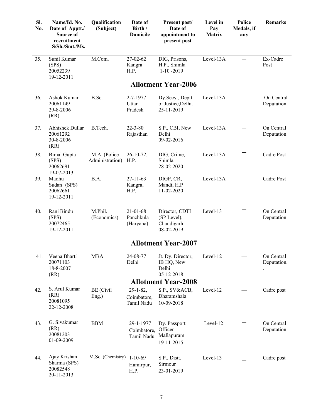| Sl.<br>No. | Name/Id. No.<br>Date of Apptt./<br>Source of<br>recruitment<br>S/Sh./Smt./Ms. | Qualification<br>(Subject)      | Date of<br>Birth /<br><b>Domicile</b>        | Present post/<br>Date of<br>appointment to<br>present post | Level in<br>Pay<br><b>Matrix</b> | Police<br>Medals, if<br>any | <b>Remarks</b>            |
|------------|-------------------------------------------------------------------------------|---------------------------------|----------------------------------------------|------------------------------------------------------------|----------------------------------|-----------------------------|---------------------------|
| 35.        | Sunil Kumar<br>(SPS)<br>20052239<br>19-12-2011                                | M.Com.                          | 27-02-62<br>Kangra<br>H.P.                   | DIG, Prisons,<br>H.P., Shimla<br>$1-10-2019$               | Level-13A                        |                             | Ex-Cadre<br>Post          |
|            |                                                                               |                                 |                                              | <b>Allotment Year-2006</b>                                 |                                  |                             |                           |
| 36.        | Ashok Kumar<br>20061149<br>29-8-2006<br>(RR)                                  | B.Sc.                           | 2-7-1977<br>Uttar<br>Pradesh                 | Dy.Secy., Deptt.<br>of Justice, Delhi.<br>25-11-2019       | Level-13A                        |                             | On Central<br>Deputation  |
| 37.        | <b>Abhishek Dullar</b><br>20061292<br>30-8-2006<br>(RR)                       | B.Tech.                         | $22 - 3 - 80$<br>Rajasthan                   | S.P., CBI, New<br>Delhi<br>09-02-2016                      | Level-13A                        |                             | On Central<br>Deputation  |
| 38.        | <b>Bimal Gupta</b><br>(SPS)<br>20062691<br>19-07-2013                         | M.A. (Police<br>Administration) | $26-10-72$ ,<br>H.P.                         | DIG, Crime,<br>Shimla<br>28-02-2020                        | Level-13A                        |                             | Cadre Post                |
| 39.        | Madhu<br>Sudan (SPS)<br>20062661<br>19-12-2011                                | B.A.                            | $27 - 11 - 63$<br>Kangra,<br>H.P.            | DIGP, CR,<br>Mandi, H.P<br>11-02-2020                      | Level-13A                        |                             | Cadre Post                |
| 40.        | Rani Bindu<br>(SPS)<br>20072465<br>19-12-2011                                 | M.Phil.<br>(Economics)          | $21 - 01 - 68$<br>Panchkula<br>(Haryana)     | Director, CDTI<br>(SP Level),<br>Chandigarh<br>08-02-2019  | Level-13                         |                             | On Central<br>Deputation  |
|            |                                                                               |                                 |                                              | <b>Allotment Year-2007</b>                                 |                                  |                             |                           |
| 41.        | Veena Bharti<br>20071103<br>18-8-2007<br>(RR)                                 | <b>MBA</b>                      | 24-08-77<br>Delhi                            | Jt. Dy. Director,<br>IB HQ, New<br>Delhi<br>05-12-2018     | Level-12                         |                             | On Central<br>Deputation. |
|            | S. Arul Kumar                                                                 |                                 |                                              | <b>Allotment Year-2008</b>                                 |                                  |                             |                           |
| 42.        | (RR)<br>20081095<br>22-12-2008                                                | BE (Civil<br>Eng.)              | $29 - 1 - 82$ ,<br>Coimbatore,<br>Tamil Nadu | S.P., SV&ACB,<br>Dharamshala<br>10-09-2018                 | Level-12                         |                             | Cadre post                |
| 43.        | G. Sivakumar<br>(RR)<br>20081203<br>01-09-2009                                | <b>BBM</b>                      | 29-1-1977<br>Coimbatore,<br>Tamil Nadu       | Dy. Passport<br>Officer<br>Mallapuram<br>19-11-2015        | Level-12                         |                             | On Central<br>Deputation  |
| 44.        | Ajay Krishan<br>Sharma (SPS)<br>20082548<br>20-11-2013                        | M.Sc. (Chemistry) 1-10-69       | Hamirpur,<br>H.P.                            | S.P., Distt.<br>Sirmour<br>23-01-2019                      | Level-13                         |                             | Cadre post                |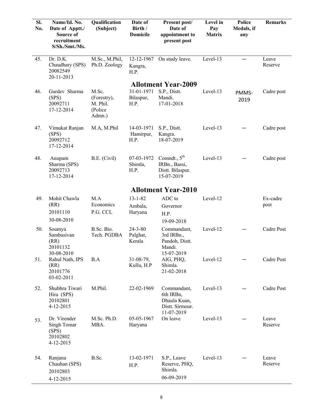| Sl.<br>No. | Name/Id. No.<br>Date of Apptt./<br>Source of<br>recruitment<br>S/Sh./Smt./Ms. | Qualification<br>(Subject)                             | Date of<br>Birth /<br><b>Domicile</b> | Present post/<br>Date of<br>appointment to<br>present post                | Level in<br>Pay<br><b>Matrix</b> | Police<br>Medals, if<br>any | <b>Remarks</b>   |
|------------|-------------------------------------------------------------------------------|--------------------------------------------------------|---------------------------------------|---------------------------------------------------------------------------|----------------------------------|-----------------------------|------------------|
| 45.        | $\overline{D}$ r. D.K.<br>Chaudhary (SPS)<br>20082549<br>20-11-2013           | M.Sc., M.Phil,<br>Ph.D. Zoology                        | 12-12-1967<br>Kangra,<br>H.P.         | On study leave.                                                           | Level-13                         |                             | Leave<br>Reserve |
|            |                                                                               |                                                        |                                       | <b>Allotment Year-2009</b>                                                |                                  |                             |                  |
| 46.        | Gurdev Sharma<br>(SPS)<br>20092711<br>17-12-2014                              | M.Sc.<br>(Forestry),<br>M. Phil.<br>(Police)<br>Admn.) | 31-01-1971<br>Bilaspur,<br>H.P.       | S.P., Distt.<br>Mandi.<br>17-01-2018                                      | Level-13                         | PMMS-<br>2019               | Cadre post       |
| 47.        | Vimukat Ranjan<br>(SPS)<br>20092712<br>17-12-2014                             | M.A, M.Phil                                            | 14-03-1971<br>Hamirpur,<br>H.P.       | S.P., Distt.<br>Kangra.<br>18-07-2019                                     | Level-13                         |                             | Cadre post       |
| 48.        | Anupam<br>Sharma (SPS)<br>20092713<br>17-12-2014                              | B.E. (Civil)                                           | 07-03-1972<br>Shimla,<br>H.P.         | Comndt., $5th$<br>IRBn., Bassi,<br>Distt. Bilaspur.<br>15-07-2019         | Level-13                         |                             | Cadre post       |
|            |                                                                               |                                                        |                                       | <b>Allotment Year-2010</b>                                                |                                  |                             |                  |
|            | Mohit Chawla                                                                  |                                                        | $13 - 1 - 82$                         | ADC to                                                                    |                                  |                             |                  |
| 49.        | (RR)                                                                          | M.A<br>Economics                                       | Ambala,                               |                                                                           | Level-12                         |                             | Ex-cadre<br>post |
|            | 20101110                                                                      | P.G. CCL                                               | Haryana                               | Governor<br>H.P.                                                          |                                  |                             |                  |
|            | 30-08-2010                                                                    |                                                        |                                       | 19-09-2018                                                                |                                  |                             |                  |
| 50.        | Soumya<br>Sambasivan<br>(RR)<br>20101132                                      | B.Sc. Bio.<br>Tech. PGDBA                              | $24 - 3 - 80$<br>Palghat,<br>Kerala   | Commandant,<br>3rd IRBn.,<br>Pandoh, Distt.<br>Mandi.                     | Level-12                         |                             | Cadre Post       |
| 51.        | 30-08-2010<br>Rahul Nath, IPS<br>(RR)<br>20101776<br>03-02-2011               | B.A                                                    | 31-08-79,<br>Kullu, H.P               | 15-07-2019<br>AIG, PHQ,<br>Shimla.<br>21-02-2018                          | Level-12                         |                             | Cadre Post       |
| 52.        | Shubhra Tiwari<br>Hira (SPS)<br>20102801<br>4-12-2015                         | M.Phil.                                                | 22-02-1969                            | Commandant,<br>6th IRBn,<br>Dhaula Kuan,<br>Distt. Sirmour.<br>11-07-2019 | Level-13                         |                             | Cadre Post       |
| 53.        | Dr. Virender<br>Singh Tomar<br>(SPS)<br>20102802<br>4-12-2015                 | M.Sc. Ph.D.<br>MBA.                                    | 05-05-1967<br>Haryana                 | On leave                                                                  | Level-13                         |                             | Leave<br>Reserve |
| 54.        | Ranjana<br>Chauhan (SPS)<br>20102803<br>4-12-2015                             | B.Sc.                                                  | 13-02-1971<br>H.P.                    | S.P., Leave<br>Reserve, PHQ,<br>Shimla.<br>06-09-2019                     | Level-13                         |                             | Leave<br>Reserve |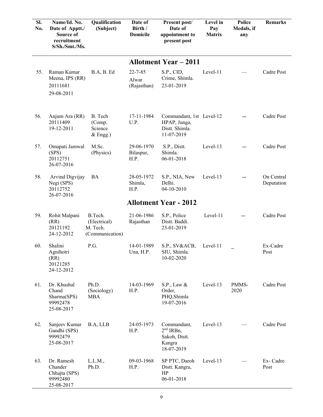| SI.<br>No. | Name/Id. No.<br>Date of Apptt./<br><b>Source of</b><br>recruitment<br>S/Sh./Smt./Ms. | Qualification<br>(Subject)                             | Date of<br>Birth /<br><b>Domicile</b> | Present post/<br>Date of<br>appointment to<br>present post               | Level in<br>Pay<br><b>Matrix</b> | Police<br>Medals, if<br>any | <b>Remarks</b>           |
|------------|--------------------------------------------------------------------------------------|--------------------------------------------------------|---------------------------------------|--------------------------------------------------------------------------|----------------------------------|-----------------------------|--------------------------|
|            |                                                                                      |                                                        |                                       | <b>Allotment Year – 2011</b>                                             |                                  |                             |                          |
| 55.        | Raman Kumar<br>Meena, IPS (RR)<br>20111681<br>29-08-2011                             | B.A, B. Ed                                             | $22 - 7 - 85$<br>Alwar<br>(Rajasthan) | S.P., CID,<br>Crime, Shimla.<br>23-01-2019                               | Level-11                         |                             | Cadre Post               |
| 56.        | Anjum Ara (RR)<br>20111409<br>19-12-2011                                             | B. Tech<br>(Comp.<br>Science<br>$&$ Engg.)             | 17-11-1984<br>U.P.                    | Commandant, 1st Level-12<br>HPAP, Junga,<br>Distt. Shimla.<br>11-07-2019 |                                  |                             | Cadre Post               |
| 57.        | Omapati Jamwal<br>(SPS)<br>20112751<br>26-07-2016                                    | M.Sc.<br>(Physics)                                     | 29-06-1970<br>Bilaspur,<br>H.P.       | S.P., Distt.<br>Shimla.<br>06-01-2018                                    | Level-13                         |                             | Cadre Post               |
| 58.        | Arvind Digvijay<br>Negi (SPS)<br>20112752<br>26-07-2016                              | BA                                                     | 28-05-1972<br>Shimla,<br>H.P.         | S.P., NIA, New<br>Delhi.<br>04-10-2010                                   | Level-13                         |                             | On Central<br>Deputation |
|            |                                                                                      |                                                        |                                       | <b>Allotment Year - 2012</b>                                             |                                  |                             |                          |
| 59.        | Rohit Malpani<br>(RR)<br>20121192<br>24-12-2012                                      | B.Tech.<br>(Electrical)<br>M. Tech.<br>(Communication) | 21-06-1986<br>Rajasthan               | S.P., Police<br>Distt. Baddi.<br>23-01-2019                              | Level-11                         |                             | Cadre Post               |
| 60.        | Shalini<br>Agnihotri<br>(RR)<br>20121285<br>24-12-2012                               | P.G.                                                   | 14-01-1989<br>Una, H.P.               | S.P., SV&ACB,<br>SIU, Shimla.<br>10-02-2020                              | Level-11                         |                             | Ex-Cadre<br>Post         |
| 61.        | Dr. Khushal<br>Chand<br>Sharma(SPS)<br>99992478<br>25-08-2017                        | Ph.D.<br>(Sociology)<br><b>MBA</b>                     | 14-03-1969<br>H.P.                    | S.P., Law &<br>Order,<br>PHQ, Shimla<br>19-07-2016                       | Level-13                         | PMMS-<br>2020               | Cadre Post               |
| 62.        | Sanjeev Kumar<br>Gandhi (SPS)<br>99992479<br>25-08-2017                              | B.A, LLB                                               | 24-05-1973<br>H.P.                    | Commandant,<br>$2nd$ IRBn,<br>Sakoh, Distt.<br>Kangra<br>18-07-2019      | Level-13                         |                             | Cadre Post               |
| 63.        | Dr. Ramesh<br>Chander<br>Chhajta (SPS)<br>99992480<br>25-08-2017                     | L.L.M.,<br>Ph.D.                                       | 09-03-1968<br>H.P.                    | SP PTC, Daroh<br>Distt. Kangra,<br>HP<br>06-01-2018                      | Level-13                         |                             | Ex-Cadre<br>Post         |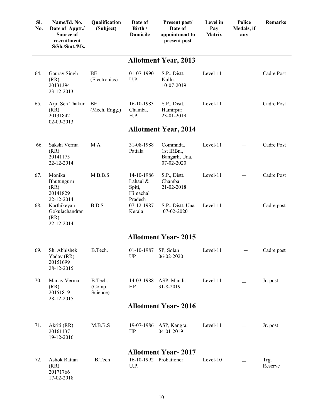| SI.<br>No. | Name/Id. No.<br>Date of Apptt./<br>Source of<br>recruitment<br>S/Sh./Smt./Ms. | Qualification<br>(Subject)    | Date of<br>Birth /<br><b>Domicile</b>                   | Present post/<br>Date of<br>appointment to<br>present post | Level in<br>Pay<br><b>Matrix</b> | Police<br>Medals, if<br>any | <b>Remarks</b>  |
|------------|-------------------------------------------------------------------------------|-------------------------------|---------------------------------------------------------|------------------------------------------------------------|----------------------------------|-----------------------------|-----------------|
|            |                                                                               |                               |                                                         | <b>Allotment Year, 2013</b>                                |                                  |                             |                 |
| 64.        | Gaurav Singh<br>(RR)<br>20131394<br>23-12-2013                                | BE<br>(Electronics)           | 01-07-1990<br>U.P.                                      | S.P., Distt.<br>Kullu.<br>10-07-2019                       | Level-11                         |                             | Cadre Post      |
| 65.        | Arjit Sen Thakur<br>(RR)<br>20131842<br>02-09-2013                            | BE<br>(Mech. Engg.)           | 16-10-1983<br>Chamba,<br>H.P.                           | S.P., Distt.<br>Hamirpur<br>23-01-2019                     | Level-11                         |                             | Cadre Post      |
|            |                                                                               |                               |                                                         | <b>Allotment Year, 2014</b>                                |                                  |                             |                 |
| 66.        | Sakshi Verma<br>(RR)<br>20141175<br>22-12-2014                                | M.A                           | 31-08-1988<br>Patiala                                   | Commndt.,<br>1st IRBn.,<br>Bangarh, Una.<br>07-02-2020     | Level-11                         |                             | Cadre Post      |
| 67.        | Monika<br>Bhutunguru<br>(RR)<br>20141829<br>22-12-2014                        | M.B.B.S                       | 14-10-1986<br>Lahaul &<br>Spiti,<br>Himachal<br>Pradesh | S.P., Distt.<br>Chamba<br>21-02-2018                       | Level-11                         |                             | Cadre Post      |
| 68.        | Karthikeyan<br>Gokulachandran<br>(RR)<br>22-12-2014                           | B.D.S                         | 07-12-1987<br>Kerala                                    | S.P., Distt. Una<br>07-02-2020                             | Level-11                         |                             | Cadre post      |
|            |                                                                               |                               |                                                         | <b>Allotment Year-2015</b>                                 |                                  |                             |                 |
| 69.        | Sh. Abhishek<br>Yadav (RR)<br>20151699<br>28-12-2015                          | B.Tech.                       | 01-10-1987<br>UP                                        | SP, Solan<br>06-02-2020                                    | Level-11                         |                             | Cadre post      |
| 70.        | Manav Verma<br>(RR)<br>20151819<br>28-12-2015                                 | B.Tech.<br>(Comp.<br>Science) | HP                                                      | 14-03-1988 ASP, Mandi.<br>31-8-2019                        | Level-11                         |                             | Jr. post        |
|            |                                                                               |                               |                                                         | <b>Allotment Year-2016</b>                                 |                                  |                             |                 |
| 71.        | Akriti (RR)<br>20161137<br>19-12-2016                                         | M.B.B.S                       | 19-07-1986<br>HP                                        | ASP, Kangra.<br>04-01-2019                                 | Level-11                         |                             | Jr. post        |
| 72.        | Ashok Rattan<br>(RR)<br>20171766<br>17-02-2018                                | <b>B.Tech</b>                 | U.P.                                                    | <b>Allotment Year-2017</b><br>16-10-1992 Probationer       | Level-10                         |                             | Trg.<br>Reserve |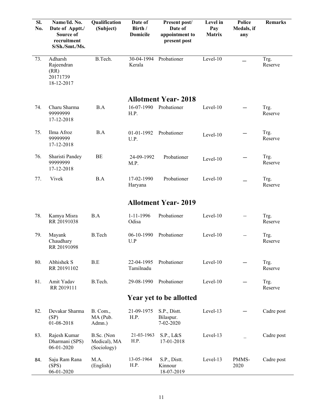| SI.<br>No. | Name/Id. No.<br>Date of Apptt./<br>Source of<br>recruitment<br>S/Sh./Smt./Ms. | Qualification<br>(Subject)                | Date of<br>Birth /<br><b>Domicile</b> | Present post/<br>Date of<br>appointment to<br>present post | Level in<br>Pay<br><b>Matrix</b> | <b>Police</b><br>Medals, if<br>any | <b>Remarks</b>  |
|------------|-------------------------------------------------------------------------------|-------------------------------------------|---------------------------------------|------------------------------------------------------------|----------------------------------|------------------------------------|-----------------|
| 73.        | Adharsh<br>Rajeendran<br>(RR)<br>20171739<br>18-12-2017                       | B.Tech.                                   | 30-04-1994<br>Kerala                  | Probationer                                                | Level-10                         |                                    | Trg.<br>Reserve |
|            |                                                                               |                                           |                                       | <b>Allotment Year-2018</b>                                 |                                  |                                    |                 |
| 74.        | Charu Sharma<br>99999999<br>17-12-2018                                        | B.A                                       | 16-07-1990<br>H.P.                    | Probationer                                                | Level-10                         |                                    | Trg.<br>Reserve |
| 75.        | Ilma Afroz<br>99999999<br>17-12-2018                                          | B.A                                       | 01-01-1992<br>U.P.                    | Probationer                                                | Level-10                         |                                    | Trg.<br>Reserve |
| 76.        | Sharisti Pandey<br>99999999<br>17-12-2018                                     | BE                                        | 24-09-1992<br>M.P.                    | Probationer                                                | Level-10                         |                                    | Trg.<br>Reserve |
| 77.        | Vivek                                                                         | B.A                                       | 17-02-1990<br>Haryana                 | Probationer                                                | Level-10                         |                                    | Trg.<br>Reserve |
|            |                                                                               |                                           |                                       | <b>Allotment Year-2019</b>                                 |                                  |                                    |                 |
| 78.        | Kamya Misra<br>RR 20191038                                                    | B.A                                       | $1 - 11 - 1996$<br>Odisa              | Probationer                                                | Level-10                         | $-$                                | Trg.<br>Reserve |
| 79.        | Mayank<br>Chaudhary<br>RR 20191098                                            | <b>B.Tech</b>                             | 06-10-1990<br>U.P                     | Probationer                                                | Level-10                         | $\overline{\phantom{m}}$           | Trg.<br>Reserve |
| 80.        | Abhishek S<br>RR 20191102                                                     | $\operatorname{B.E}$                      | 22-04-1995<br>Tamilnadu               | Probationer                                                | Level-10                         |                                    | Trg.<br>Reserve |
| 81.        | Amit Yadav<br>RR 2019111                                                      | B.Tech.                                   | 29-08-1990                            | Probationer                                                | Level-10                         |                                    | Trg.<br>Reserve |
|            |                                                                               |                                           |                                       | Year yet to be allotted                                    |                                  |                                    |                 |
| 82.        | Devakar Sharma<br>(SP)<br>01-08-2018                                          | B. Com.,<br>MA (Pub.<br>Admn.)            | 21-09-1975<br>H.P.                    | S.P., Distt.<br>Bilaspur.<br>7-02-2020                     | Level-13                         |                                    | Cadre post      |
| 83.        | Rajesh Kumar<br>Dharmani (SPS)<br>06-01-2020                                  | B.Sc. (Non<br>Medical), MA<br>(Sociology) | 21-03-1963<br>H.P.                    | S.P., L&S<br>17-01-2018                                    | Level-13                         |                                    | Cadre post      |
| 84.        | Saju Ram Rana<br>(SPS)<br>06-01-2020                                          | M.A.<br>(English)                         | 13-05-1964<br>H.P.                    | S.P., Distt.<br>Kinnour<br>18-07-2019                      | Level-13                         | PMMS-<br>2020                      | Cadre post      |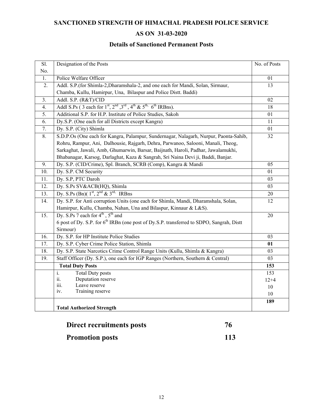## **SANCTIONED STRENGTH OF HIMACHAL PRADESH POLICE SERVICE**

# **AS ON 31-03-2020**

## **Details of Sanctioned Permanent Posts**

| Sl. | Designation of the Posts                                                                             | No. of Posts    |
|-----|------------------------------------------------------------------------------------------------------|-----------------|
| No. |                                                                                                      |                 |
| 1.  | Police Welfare Officer                                                                               | 01              |
| 2.  | Addl. S.P.(for Shimla-2, Dharamshala-2, and one each for Mandi, Solan, Sirmaur,                      | 13              |
|     | Chamba, Kullu, Hamirpur, Una, Bilaspur and Police Distt. Baddi)                                      |                 |
| 3.  | Addl. S.P. (R&T)/CID                                                                                 | $\overline{02}$ |
| 4.  | Addl S.Ps (3 each for $1st$ , $2nd$ , $3rd$ , $4th$ & $5th$ , $6th$ IRBns).                          | 18              |
| 5.  | Additional S.P. for H.P. Institute of Police Studies, Sakoh                                          | 01              |
| 6.  | Dy.S.P. (One each for all Districts except Kangra)                                                   | 11              |
| 7.  | Dy. S.P. (City) Shimla                                                                               | 01              |
| 8.  | S.D.P.Os (One each for Kangra, Palampur, Sundernagar, Nalagarh, Nurpur, Paonta-Sahib,                | 32              |
|     | Rohru, Rampur, Ani, Dalhousie, Rajgarh, Dehra, Parwanoo, Salooni, Manali, Theog,                     |                 |
|     | Sarkaghat, Jawali, Amb, Ghumarwin, Barsar, Baijnath, Haroli, Padhar, Jawalamukhi,                    |                 |
|     | Bhabanagar, Karsog, Darlaghat, Kaza & Sangrah, Sri Naina Devi ji, Baddi, Banjar.                     |                 |
| 9.  | Dy. S.P. (CID/Crime), Spl. Branch, SCRB (Comp), Kangra & Mandi                                       | 05              |
| 10. | Dy. S.P. CM Security                                                                                 | 01              |
| 11. | Dy. S.P, PTC Daroh                                                                                   | 03              |
| 12. | Dy. S.Ps SV&ACB(HQ), Shimla                                                                          | 03              |
| 13. | Dy. S.Ps (Bn)( $1st$ , $2nd$ & $3rd$ IRBns                                                           | 20              |
| 14. | Dy. S.P. for Anti corruption Units (one each for Shimla, Mandi, Dharamshala, Solan,                  | 12              |
|     | Hamirpur, Kullu, Chamba, Nahan, Una and Bilaspur, Kinnaur & L&S).                                    |                 |
| 15. | Dy. S.Ps 7 each for $4^{th}$ , $5^{th}$ and                                                          | 20              |
|     | 6 post of Dy. S.P. for 6 <sup>th</sup> IRBn (one post of Dy.S.P. transferred to SDPO, Sangrah, Distt |                 |
|     | Sirmour)                                                                                             |                 |
| 16. | Dy. S.P. for HP Institute Police Studies                                                             | 03              |
| 17. | Dy. S.P. Cyber Crime Police Station, Shimla                                                          | 01              |
| 18. | Dy. S.P. State Narcotics Crime Control Range Units (Kullu, Shimla & Kangra)                          | 03              |
| 19. | Staff Officer (Dy. S.P.), one each for IGP Ranges (Northern, Southern & Central)                     | 03              |
|     | <b>Total Duty Posts</b>                                                                              | 153             |
|     | $\mathbf{i}$ .<br><b>Total Duty posts</b>                                                            | 153             |
|     | Deputation reserve<br>ii.                                                                            | $12 + 4$        |
|     | iii.<br>Leave reserve                                                                                | 10              |
|     | Training reserve<br>iv.                                                                              | 10              |
|     |                                                                                                      | 189             |
|     | <b>Total Authorized Strength</b>                                                                     |                 |
|     |                                                                                                      |                 |

| Direct recruitments posts |     |
|---------------------------|-----|
| <b>Promotion posts</b>    | 113 |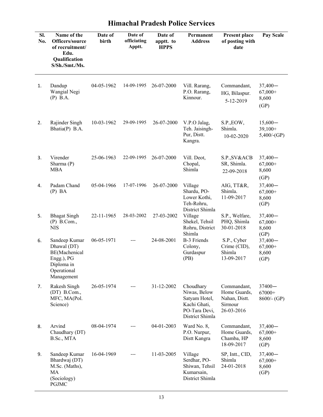| SI.<br>No. | Name of the<br>Officers/source<br>of recruitment/<br>Edu.<br>Qualification<br>S/Sh./Smt./Ms.           | Date of<br>birth | Date of<br>officiating<br>Apptt. | Date of<br>apptt. to<br><b>HPPS</b> | Permanent<br><b>Address</b>                                                                    | Present place<br>of posting with<br>date                              | Pay Scale                                |
|------------|--------------------------------------------------------------------------------------------------------|------------------|----------------------------------|-------------------------------------|------------------------------------------------------------------------------------------------|-----------------------------------------------------------------------|------------------------------------------|
| 1.         | Dandup<br>Wangial Negi<br>$(P)$ B.A.                                                                   | 04-05-1962       | 14-09-1995                       | 26-07-2000                          | Vill. Rarang,<br>P.O. Rarang,<br>Kinnour.                                                      | Commandant,<br>HG, Bilaspur.<br>5-12-2019                             | $37,400-$<br>$67,000+$<br>8,600<br>(GP)  |
| 2.         | Rajinder Singh<br>Bhatia(P) B.A.                                                                       | 10-03-1962       | 29-09-1995                       | 26-07-2000                          | V.P.O Jalag,<br>Teh. Jaisingh-<br>Pur, Distt.<br>Kangra.                                       | S.P., EOW,<br>Shimla.<br>10-02-2020                                   | $15,600-$<br>$39,100+$<br>5,400/(GP)     |
| 3.         | Virender<br>Sharma (P)<br><b>MBA</b>                                                                   | 25-06-1963       | 22-09-1995                       | 26-07-2000                          | Vill. Deot,<br>Chopal,<br>Shimla                                                               | S.P., SV&ACB<br>SR, Shimla.<br>22-09-2018                             | $37,400 -$<br>$67,000+$<br>8,600<br>(GP) |
| 4.         | Padam Chand<br>$(P)$ BA                                                                                | 05-04-1966       | 17-07-1996                       | 26-07-2000                          | Village<br>Shardu, PO-<br>Lower Kothi,<br>Teh-Rohru,                                           | AIG, TT&R,<br>Shimla.<br>11-09-2017                                   | $37,400 -$<br>$67,000+$<br>8,600<br>(GP) |
| 5.         | <b>Bhagat Singh</b><br>$(P)$ B.Com.,<br><b>NIS</b>                                                     | 22-11-1965       | 28-03-2002                       | 27-03-2002                          | District Shimla<br>Village<br>Shekel, Tehsil<br>Rohru, District<br>Shimla                      | S.P., Welfare,<br>PHQ, Shimla<br>30-01-2018                           | $37,400-$<br>$67,000+$<br>8,600<br>(GP)  |
| 6.         | Sandeep Kumar<br>Dhawal (DT)<br>BE(Machenical<br>Engg.), PG<br>Diploma in<br>Operational<br>Management | 06-05-1971       |                                  | 24-08-2001                          | <b>B-3 Friends</b><br>Colony,<br>Gurdaspur<br>(PB)                                             | S.P., Cyber<br>Crime (CID),<br>Shimla<br>13-09-2017                   | $37,400 -$<br>$67,000+$<br>8,600<br>(GP) |
| 7.         | Rakesh Singh<br>$(DT)$ B.Com.,<br>MFC, MA(Pol.<br>Science)                                             | 26-05-1974       | ---                              | 31-12-2002                          | Choudhary<br>Niwas, Below<br>Satyam Hotel,<br>Kachi Ghati,<br>PO-Tara Devi,<br>District Shimla | Commandant,<br>Home Guards,<br>Nahan, Distt.<br>Sirmour<br>26-03-2016 | $37400 -$<br>67000+<br>$8600$ /- (GP)    |
| 8.         | Arvind<br>Chaudhary (DT)<br>B.Sc., MTA                                                                 | 08-04-1974       | ---                              | 04-01-2003                          | Ward No. 8,<br>P.O. Nurpur,<br>Distt Kangra                                                    | Commandant,<br>Home Guards,<br>Chamba, HP<br>18-09-2017               | $37,400-$<br>$67,000+$<br>8,600<br>(GP)  |
| 9.         | Sandeep Kumar<br>Bhardwaj (DT)<br>M.Sc. (Maths),<br>MA<br>(Sociology)<br>PGJMC                         | 16-04-1969       |                                  | 11-03-2005                          | Village<br>Serdhar, PO-<br>Shiwan, Tehsil<br>Kumarsain,<br>District Shimla                     | SP, Intt., CID,<br>Shimla<br>24-01-2018                               | $37,400-$<br>$67,000+$<br>8,600<br>(GP)  |

# **Himachal Pradesh Police Services**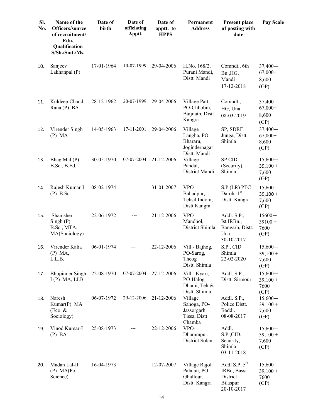| SI.<br>No. | Name of the<br>Officers/source<br>of recruitment/<br>Edu.<br>Qualification<br>S/Sh./Smt./Ms. | Date of<br>birth | Date of<br>officiating<br>Apptt. | Date of<br>apptt. to<br><b>HPPS</b> | Permanent<br><b>Address</b>                                        | <b>Present place</b><br>of posting with<br>date                      | Pay Scale                                |
|------------|----------------------------------------------------------------------------------------------|------------------|----------------------------------|-------------------------------------|--------------------------------------------------------------------|----------------------------------------------------------------------|------------------------------------------|
| 10.        | Sanjeev<br>Lakhanpal (P)                                                                     | 17-01-1964       | 10-07-1999                       | 29-04-2006                          | H.No. 168/2,<br>Purani Mandi,<br>Distt. Mandi                      | Comndt., 6th<br>Bn., HG,<br>Mandi<br>17-12-2018                      | $37,400 -$<br>$67,000+$<br>8,600<br>(GP) |
| 11.        | Kuldeep Chand<br>Rana (P) BA                                                                 | 28-12-1962       | 20-07-1999                       | 29-04-2006                          | Village Patt,<br>PO-Chhobin,<br>Baijnath, Distt<br>Kangra          | Comndt.,<br>HG, Una<br>08-03-2019                                    | $37,400-$<br>$67,000+$<br>8,600<br>(GP)  |
| 12.        | Virender Singh<br>(P) MA                                                                     | 14-05-1963       | 17-11-2001                       | 29-04-2006                          | Village<br>Langha, PO<br>Bhararu,<br>Jogindernagar<br>Distt. Mandi | SP, SDRF<br>Junga, Distt.<br>Shimla                                  | $37,400 -$<br>$67,000+$<br>8,600<br>(GP) |
| 13.        | Bhag Mal (P)<br>B.Sc., B.Ed.                                                                 | 30-05-1970       | 07-07-2004                       | 21-12-2006                          | Village<br>Pandal,<br>District Mandi                               | <b>SP CID</b><br>(Security),<br>Shimla                               | $15,600-$<br>$39,100 +$<br>7,600<br>(GP) |
| 14.        | Rajesh Kumar-I<br>$(P)$ B.Sc.                                                                | 08-02-1974       |                                  | 31-01-2007                          | VPO-<br>Bahadpur,<br>Tehsil Indora,<br>Distt Kangra                | S.P.(LR) PTC<br>Daroh, $1st$<br>Distt. Kangra.                       | $15,600-$<br>$39,100 +$<br>7,600<br>(GP) |
| 15.        | Shamsher<br>Singh(P)<br>B.Sc., MTA,<br>MA(Sociology)                                         | 22-06-1972       | ---                              | 21-12-2006                          | VPO-<br>Mandhol,<br>District Shimla                                | Addl. S.P.,<br>Ist IRBn.,<br>Bangarh, Distt.<br>Una.<br>30-10-2017   | $15600 -$<br>$39100 +$<br>7600<br>(GP)   |
| 16.        | Virender Kalia<br>$(P)$ MA,<br>L.L.B.                                                        | 06-01-1974       |                                  | 22-12-2006                          | Vill.- Bajhog,<br>PO-Sarog,<br>Theog<br>Distt. Shimla              | S.P., CID<br>Shimla<br>22-02-2020                                    | $15,600-$<br>$39,100 +$<br>7,600<br>(GP) |
| 17.        | Bhupinder Singh-22-08-1970<br>$I(P)$ MA, LLB                                                 |                  | 07-07-2004                       | 27-12-2006                          | Vill.- Kyari,<br>PO-Halog<br>Dhami, Teh.&<br>Distt. Shimla         | Addl. S.P.,<br>Distt. Sirmour                                        | $15,600-$<br>$39,100 +$<br>7600<br>(GP)  |
| 18.        | Naresh<br>Kumar(P) MA<br>(Eco. &<br>Sociology)                                               | 06-07-1972       | 29-12-2006                       | 21-12-2006                          | Village<br>Sahoga, PO-<br>Jassorgarh,<br>Tissa, Distt<br>Chamba    | Addl. S.P.,<br>Police Distt.<br>Baddi.<br>08-08-2017                 | $15,600-$<br>$39,100 +$<br>7,600<br>(GP) |
| 19.        | Vinod Kumar-I<br>$(P)$ BA                                                                    | 25-08-1973       |                                  | 22-12-2006                          | VPO-<br>Dharampur,<br>District Solan                               | Addl.<br>S.P.,CID,<br>Security,<br>Shimla<br>03-11-2018              | $15,600-$<br>$39,100 +$<br>7,600<br>(GP) |
| 20.        | Madan Lal-II<br>$(P)$ MA $(Pol.$<br>Science)                                                 | 16-04-1973       |                                  | 12-07-2007                          | Village Rajol<br>Palaian, PO<br>Ghallour,<br>Distt. Kangra         | Addl S.P. $5th$<br>IRBn, Bassi<br>District<br>Bilaspur<br>20-10-2017 | $15,600-$<br>$39,100 +$<br>7600<br>(GP)  |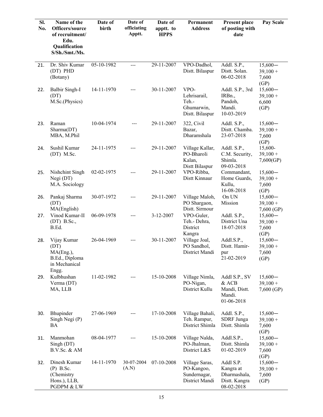| Sl.<br>No. | Name of the<br>Officers/source<br>of recruitment/<br>Edu.<br>Qualification<br>S/Sh./Smt./Ms. | Date of<br>birth | Date of<br>officiating<br>Apptt. | Date of<br>apptt. to<br><b>HPPS</b> | Permanent<br><b>Address</b>                                    | <b>Present place</b><br>of posting with<br>date                       | Pay Scale                                |
|------------|----------------------------------------------------------------------------------------------|------------------|----------------------------------|-------------------------------------|----------------------------------------------------------------|-----------------------------------------------------------------------|------------------------------------------|
| 21.        | Dr. Shiv Kumar<br>(DT) PHD<br>(Botany)                                                       | 05-10-1982       | $---$                            | 29-11-2007                          | VPO-Dadhol,<br>Distt. Bilaspur                                 | Addl. S.P.,<br>Distt. Solan.<br>06-02-2018                            | $15,600-$<br>$39,100 +$<br>7,600<br>(GP) |
| 22.        | <b>Balbir Singh-I</b><br>(DT)<br>M.Sc.(Physics)                                              | 14-11-1970       |                                  | 30-11-2007                          | VPO-<br>Lehrisarail,<br>Teh.-<br>Ghumarwin,<br>Distt. Bilaspur | Addl. S.P., 3rd<br>IRBn.,<br>Pandoh,<br>Mandi.<br>10-03-2019          | $15,600-$<br>$39,100 +$<br>6,600<br>(GP) |
| 23.        | Raman<br>Sharma(DT)<br>MBA, M.Phil                                                           | 10-04-1974       | ---                              | 29-11-2007                          | 322, Civil<br>Bazar,<br>Dharamshala                            | Addl. S.P.,<br>Distt. Chamba.<br>23-07-2018                           | $15,600-$<br>$39,100 +$<br>7,600<br>(GP) |
| 24.        | Sushil Kumar<br>$(DT)$ M.Sc.                                                                 | 24-11-1975       | ---                              | 29-11-2007                          | Village Kallar,<br>PO-Bharoli<br>Kalan,<br>Distt Bilaspur      | Addl. S.P.,<br>C.M. Security,<br>Shimla.<br>09-03-2018                | 15,600-<br>$39,100 +$<br>7,600(GP)       |
| 25.        | Nishchint Singh<br>Negi (DT)<br>M.A. Sociology                                               | 02-02-1975       |                                  | 29-11-2007                          | VPO-Ribba,<br>Distt Kinnaur                                    | Commandant,<br>Home Guards,<br>Kullu,<br>16-08-2018                   | $15,600-$<br>$39,100 +$<br>7,600<br>(GP) |
| 26.        | Pankaj Sharma<br>(DT)<br>MA(English)                                                         | 30-07-1972       | ---                              | 29-11-2007                          | Village Maloh,<br>PO Shargaon,<br>Distt. Sirmour               | On UN<br>Mission                                                      | $15,600-$<br>$39,100 +$<br>$7,600$ (GP)  |
| 27.        | Vinod Kumar-II<br>$(DT)$ B.Sc.,<br>B.Ed.                                                     | 06-09-1978       |                                  | 3-12-2007                           | VPO-Guler,<br>Teh.- Dehra,<br>District<br>Kangra               | Addl. S.P.,<br>District Una<br>18-07-2018                             | $15,600-$<br>$39,100 +$<br>7,600<br>(GP) |
| 28.        | Vijay Kumar<br>(DT)<br>MA(Eng.),<br>B.Ed., Diploma<br>in Mechanical<br>Engg.                 | 26-04-1969       | ---                              | 30-11-2007                          | Village Joal,<br>PO Sandhol,<br>District Mandi                 | Addl.S.P.,<br>Distt. Hamir-<br>pur<br>21-02-2019                      | $15,600-$<br>$39,100 +$<br>7,600<br>(GP) |
| 29.        | Kulbhushan<br>Verma (DT)<br>MA, LLB                                                          | 11-02-1982       | ---                              | 15-10-2008                          | Village Nimla,<br>PO-Nigan,<br>District Kullu                  | Addl S.P., SV<br>& ACB<br>Mandi, Distt.<br>Mandi.<br>01-06-2018       | $15,600-$<br>$39,100 +$<br>$7,600$ (GP)  |
| 30.        | Bhupinder<br>Singh Negi (P)<br>BA                                                            | 27-06-1969       |                                  | 17-10-2008                          | Village Bahali,<br>Teh. Rampur,<br>District Shimla             | Addl. S.P.,<br><b>SDRF</b> Junga<br>Distt. Shimla                     | $15,600-$<br>$39,100 +$<br>7,600<br>(GP) |
| 31.        | Manmohan<br>Singh (DT)<br>$B.V.Sc.$ & AM                                                     | 08-04-1977       | ---                              | 15-10-2008                          | Village Nalda,<br>PO-Jhalman,<br>District L&S                  | Addl.S.P.,<br>Distt. Shimla<br>01-02-2019                             | $15,600-$<br>$39,100 +$<br>7,600<br>(GP) |
| 32.        | Dinesh Kumar<br>$(P)$ B.Sc.<br>(Chemistry<br>Hons.), LLB,<br>PGDPM & LW                      | 14-11-1970       | 30-07-2004<br>(A.N)              | 07-10-2008                          | Village Saras,<br>PO-Kangoo,<br>Sundernagar,<br>District Mandi | Addl S.P.<br>Kangra at<br>Dharmashala,<br>Distt. Kangra<br>08-02-2018 | $15,600-$<br>$39,100 +$<br>7,600<br>(GP) |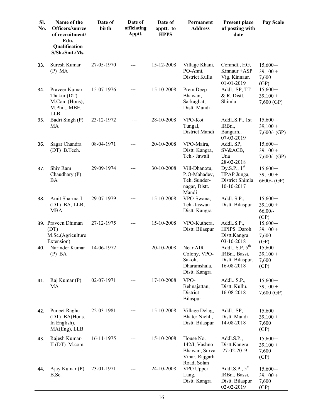| SI.<br>No. | Name of the<br>Officers/source<br>of recruitment/<br>Edu.<br>Qualification<br>S/Sh./Smt./Ms. | Date of<br>birth | Date of<br>officiating<br>Apptt. | Date of<br>apptt. to<br><b>HPPS</b> | Permanent<br><b>Address</b>                                                  | <b>Present place</b><br>of posting with<br>date                      | Pay Scale                                    |
|------------|----------------------------------------------------------------------------------------------|------------------|----------------------------------|-------------------------------------|------------------------------------------------------------------------------|----------------------------------------------------------------------|----------------------------------------------|
| 33.        | Suresh Kumar<br>(P) MA                                                                       | 27-05-1970       | $---$                            | 15-12-2008                          | Village Khani,<br>PO-Anni,<br>District Kullu                                 | Comndt., HG,<br>Kinnaur + ASP<br>Vig. Kinnaur.<br>01-01-2019         | $15,600-$<br>$39,100 +$<br>7,600<br>(GP)     |
| 34.        | Praveer Kumar<br>Thakur (DT)<br>M.Com.(Hons),<br>M.Phil., MBE,<br><b>LLB</b>                 | 15-07-1976       |                                  | 15-10-2008                          | Prem Deep<br>Bhawan,<br>Sarkaghat,<br>Distt. Mandi                           | Addl., SP, TT<br>$&$ R, Distt.<br>Shimla                             | $15,600-$<br>$39,100 +$<br>$7,600$ (GP)      |
| 35.        | Badri Singh (P)<br>MA                                                                        | 23-12-1972       | ---                              | 28-10-2008                          | VPO-Kot<br>Tungal,<br>District Mandi                                         | AddlS.P., 1st<br>IRBn.,<br>Bangarh<br>07-03-2019                     | $15,600-$<br>$39,100 +$<br>$7,600$ /- (GP)   |
| 36.        | Sagar Chandra<br>(DT) B.Tech.                                                                | 08-04-1971       |                                  | 20-10-2008                          | VPO-Maira,<br>Distt. Kangra,<br>Teh.- Jawali                                 | Addl. SP,<br>SV&ACB,<br>Una<br>28-02-2018                            | $15,600-$<br>$39,100 +$<br>$7,600$ /- $(GP)$ |
| 37.        | Shiv Ram<br>Chaudhary (P)<br>BA                                                              | 29-09-1974       |                                  | 30-10-2008                          | Vill-Dhanotu,<br>P.O-Mahadev,<br>Teh. Sunder-<br>nagar, Distt.<br>Mandi      | Dy.S.P., $1st$<br>HPAP Junga,<br>District Shimla<br>10-10-2017       | $15,600-$<br>$39,100 +$<br>$6600/-(GP)$      |
| 38.        | Amit Sharma-I<br>(DT) BA, LLB,<br><b>MBA</b>                                                 | 29-07-1979       | ---                              | 15-10-2008                          | VPO-Swana,<br>Teh.-Jaswan<br>Distt. Kangra                                   | Addl. S.P.,<br>Distt. Bilaspur                                       | $15,600-$<br>$39,100 +$<br>$66,00/-$<br>(GP) |
|            | 39. Praveen Dhiman<br>(DT)<br>M.Sc.(Agriculture<br>Extension)                                | 27-12-1975       |                                  | 15-10-2008                          | VPO-Kuthera,<br>Distt. Bilaspur                                              | Addl.S.P.,<br>HPIPS Daroh<br>Distt.Kangra<br>03-10-2018              | $15,600-$<br>$39,100 +$<br>7,600<br>(GP)     |
| 40.        | Narinder Kumar<br>$(P)$ BA                                                                   | 14-06-1972       |                                  | 20-10-2008                          | Near AIR<br>Colony, VPO-<br>Sakoh,<br>Dharamshala,<br>Distt. Kangra          | Addl., S.P. $5th$<br>IRBn., Bassi,<br>Distt. Bilaspur.<br>16-08-2018 | $15,600-$<br>$39,100 +$<br>7,600<br>(GP)     |
| 41.        | Raj Kumar (P)<br>MA                                                                          | 02-07-1971       |                                  | 17-10-2008                          | VPO-<br>Behnajattan,<br>District<br>Bilaspur                                 | Addl., S.P.,<br>Distt. Kullu.<br>16-08-2018                          | $15,600-$<br>$39,100 +$<br>$7,600$ (GP)      |
| 42.        | Puneet Raghu<br>(DT) BA(Hons.<br>In English),<br>$MA(Eng)$ , LLB                             | 22-03-1981       |                                  | 15-10-2008                          | Village Delag,<br>Bhater Nichli,<br>Distt. Bilaspur                          | Addl. SP,<br>Distt. Mandi<br>14-08-2018                              | $15,600-$<br>$39,100 +$<br>7,600<br>(GP)     |
| 43.        | Rajesh Kumar-<br>$II(DT)$ M.com.                                                             | 16-11-1975       |                                  | 15-10-2008                          | House No.<br>142/I, Vashno<br>Bhawan, Surva<br>Vihar, Rajgarh<br>Road, Solan | Addl.S.P.,<br>Distt.Kangra<br>27-02-2019                             | $15,600-$<br>$39,100 +$<br>7,600<br>(GP)     |
| 44.        | Ajay Kumar (P)<br>B.Sc.                                                                      | 23-01-1971       |                                  | 24-10-2008                          | VPO Upper<br>Lang,<br>Distt. Kangra                                          | Addl.S.P., $5th$<br>IRBn., Bassi,<br>Distt. Bilaspur<br>02-02-2019   | $15,600-$<br>$39,100 +$<br>7,600<br>(GP)     |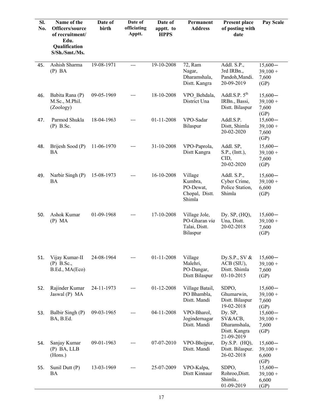| SI.<br>No. | Name of the<br>Officers/source<br>of recruitment/<br>Edu.<br>Qualification<br>S/Sh./Smt./Ms. | Date of<br>birth | Date of<br>officiating<br>Apptt. | Date of<br>apptt. to<br><b>HPPS</b> | Permanent<br><b>Address</b>                                 | <b>Present place</b><br>of posting with<br>date                   | Pay Scale                                |
|------------|----------------------------------------------------------------------------------------------|------------------|----------------------------------|-------------------------------------|-------------------------------------------------------------|-------------------------------------------------------------------|------------------------------------------|
| 45.        | Ashish Sharma<br>$(P)$ BA                                                                    | 19-08-1971       | $---$                            | 19-10-2008                          | 72, Ram<br>Nagar,<br>Dharamshala,<br>Distt. Kangra          | Addl. S.P.,<br>3rd IRBn.,<br>Pandoh, Mandi.<br>20-09-2019         | $15,600-$<br>$39,100 +$<br>7,600<br>(GP) |
| 46.        | Babita Rana (P)<br>M.Sc., M.Phil.<br>(Zoology)                                               | 09-05-1969       | ---                              | 18-10-2008                          | VPO Behdala,<br>District Una                                | Addl.S.P. $5th$<br>IRBn., Bassi,<br>Distt. Bilaspur               | $15,600-$<br>$39,100 +$<br>7,600<br>(GP) |
| 47.        | Parmod Shukla<br>$(P)$ B.Sc.                                                                 | 18-04-1963       | ---                              | 01-11-2008                          | VPO-Sadar<br>Bilaspur                                       | Addl.S.P.<br>Distt, Shimla<br>20-02-2020                          | $15,600-$<br>$39,100 +$<br>7,600<br>(GP) |
| 48.        | Brijesh Sood (P)<br>BA                                                                       | 11-06-1970       |                                  | 31-10-2008                          | VPO-Paprola,<br>Distt Kangra                                | Addl. SP,<br>S.P., (Intt.),<br>CID,<br>20-02-2020                 | $15,600-$<br>$39,100 +$<br>7,600<br>(GP) |
| 49.        | Narbir Singh (P)<br><b>BA</b>                                                                | 15-08-1973       |                                  | 16-10-2008                          | Village<br>Kumbra,<br>PO-Dewat,<br>Chopal, Distt.<br>Shimla | Addl. S.P.,<br>Cyber Crime,<br>Police Station,<br>Shimla          | $15,600-$<br>$39,100 +$<br>6,600<br>(GP) |
| 50.        | Ashok Kumar<br>(P) MA                                                                        | 01-09-1968       |                                  | 17-10-2008                          | Village Jole,<br>PO-Gharan via<br>Talai, Distt.<br>Bilaspur | Dy. $SP$ , $(HQ)$ ,<br>Una, Distt.<br>20-02-2018                  | $15,600-$<br>$39,100 +$<br>7,600<br>(GP) |
| 51.        | Vijay Kumar-II<br>$(P)$ B.Sc.,<br>B.Ed., MA(Eco)                                             | 24-08-1964       |                                  | $01 - 11 - 2008$                    | Village<br>Malehri,<br>PO-Dangar,<br>Distt Bilaspur         | Dy.S.P., SV &<br>ACB (SIU),<br>Distt. Shimla<br>03-10-2015        | $15,600-$<br>$39,100 +$<br>7,600<br>(GP) |
| 52.        | Rajinder Kumar<br>Jaswal (P) MA                                                              | 24-11-1973       |                                  | 01-12-2008                          | Village Batail,<br>PO Bhambla,<br>Distt. Mandi              | SDPO,<br>Ghumarwin,<br>Distt. Bilaspur<br>19-02-2018              | $15,600-$<br>$39,100 +$<br>7,600<br>(GP) |
| 53.        | Balbir Singh (P)<br>BA, B.Ed.                                                                | 09-03-1965       |                                  | 04-11-2008                          | VPO-Bharol,<br>Jogindernagar<br>Distt. Mandi                | Dy. SP,<br>SV&ACB,<br>Dharamshala,<br>Distt. Kangra<br>21-09-2019 | $15,600-$<br>$39,100 +$<br>7,600<br>(GP) |
| 54.        | Sanjay Kumar<br>$(P)$ BA, LLB<br>(Hons.)                                                     | 09-01-1963       |                                  | 07-07-2010                          | VPO-Bhojpur,<br>Distt. Mandi                                | Dy.S.P. $(HQ)$ ,<br>Distt. Bilaspur.<br>26-02-2018                | $15,600-$<br>$39,100 +$<br>6,600<br>(GP) |
| 55.        | Sunil Dutt (P)<br><b>BA</b>                                                                  | 13-03-1969       |                                  | 25-07-2009                          | VPO-Kalpa,<br>Distt Kinnaur                                 | SDPO,<br>Rohroo, Distt.<br>Shimla<br>01-09-2019                   | $15,600-$<br>$39,100 +$<br>6,600<br>(GP) |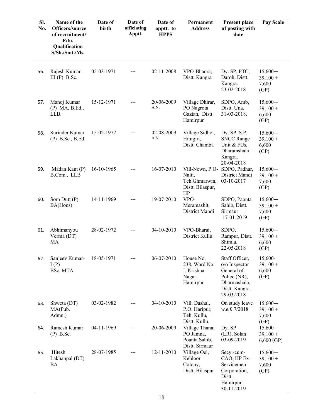| SI.<br>No. | Name of the<br>Officers/source<br>of recruitment/<br>Edu.<br>Qualification<br>S/Sh./Smt./Ms. | Date of<br>birth | Date of<br>officiating<br>Apptt. | Date of<br>apptt. to<br><b>HPPS</b> | Permanent<br><b>Address</b>                                          | <b>Present place</b><br>of posting with<br>date                                                               | Pay Scale                                |
|------------|----------------------------------------------------------------------------------------------|------------------|----------------------------------|-------------------------------------|----------------------------------------------------------------------|---------------------------------------------------------------------------------------------------------------|------------------------------------------|
|            |                                                                                              |                  |                                  |                                     |                                                                      |                                                                                                               |                                          |
| 56.        | Rajesh Kumar-<br>$III(P)$ B.Sc.                                                              | 05-03-1971       |                                  | 02-11-2008                          | VPO-Bhaura,<br>Distt. Kangra                                         | Dy. SP, PTC,<br>Daroh, Distt.<br>Kangra.<br>23-02-2018                                                        | $15,600-$<br>$39,100 +$<br>7,600<br>(GP) |
| 57.        | Manoj Kumar<br>$(P)$ MA, B.Ed.,<br>LLB.                                                      | 15-12-1971       |                                  | 20-06-2009<br>A.N.                  | Village Dhirar,<br>PO Nagrota<br>Gazian, Distt.<br>Hamirpur          | SDPO, Amb,<br>Distt. Una.<br>31-03-2018.                                                                      | $15,600-$<br>$39,100 +$<br>6,600<br>(GP) |
| 58.        | Surinder Kumar<br>$(P)$ B.Sc., B.Ed.                                                         | 15-02-1972       |                                  | 02-08-2009<br>A.N.                  | Village Sidhot,<br>Himgiri,<br>Distt. Chamba                         | Dy. SP, S.P.<br><b>SNCC Range</b><br>Unit & FUs,<br>Dharamshala<br>Kangra.<br>20-04-2018                      | $15,600-$<br>$39,100 +$<br>6,600<br>(GP) |
| 59.        | Madan Kant (P)<br>B.Com., LLB                                                                | 16-10-1965       |                                  | 16-07-2010                          | Vill-Newn, P.O-<br>Nalti,<br>Teh.Ghmarwin,<br>Distt. Bilaspur,<br>HP | SDPO, Padhar,<br>District Mandi<br>03-10-2017                                                                 | $15,600-$<br>$39,100 +$<br>7,600<br>(GP) |
| 60.        | Som Dutt (P)<br>BA(Hons)                                                                     | 14-11-1969       |                                  | 19-07-2010                          | VPO-<br>Meramashit,<br>District Mandi                                | SDPO, Paonta<br>Sahib, Distt.<br>Sirmaur<br>17-01-2019                                                        | $15,600-$<br>$39,100 +$<br>7,600<br>(GP) |
| 61.        | Abhimanyou<br>Verma (DT)<br>MA                                                               | 28-02-1972       |                                  | 04-10-2010                          | VPO-Bharai,<br>District Kullu                                        | SDPO,<br>Rampur, Distt.<br>Shimla.<br>22-05-2018                                                              | $15,600-$<br>$39,100 +$<br>6,600<br>(GP) |
| 62.        | Sanjeev Kumar-<br>I(P)<br>BSc, MTA                                                           | 18-05-1971       |                                  | 06-07-2010                          | House No.<br>238, Ward No.<br>I, Krishna<br>Nagar,<br>Hamirpur       | Staff Officer,<br>o/o Inspector<br>General of<br>Police (NR),<br>Dharmashala,<br>Distt. Kangra.<br>29-03-2018 | 15,600-<br>$39,100 +$<br>6,600<br>(GP)   |
| 63.        | Shweta (DT)<br>MA(Pub.<br>Admn.)                                                             | 03-02-1982       |                                  | 04-10-2010                          | Vill. Dashal,<br>P.O. Haripur,<br>Teh. Kullu,<br>Distt. Kullu.       | On study leave<br>w.e.f. 7/2018                                                                               | $15,600-$<br>$39,100 +$<br>7,600<br>(GP) |
| 64.        | Ramesh Kumar<br>$(P)$ B.Sc.                                                                  | 04-11-1969       |                                  | 20-06-2009                          | Village Thana,<br>PO Jamna,<br>Poanta Sahib,<br>Distt. Sirmaur       | Dy. SP<br>(LR), Solan<br>03-09-2019                                                                           | $15,600-$<br>$39,100 +$<br>$6,600$ (GP)  |
| 65.        | Hitesh<br>Lakhanpal (DT)<br>BA                                                               | 28-07-1985       |                                  | 12-11-2010                          | Village Oel,<br>Kehloor<br>Colony,<br>Distt. Bilaspur                | Secy.-cum-<br>CAO, HP Ex-<br>Servicemen<br>Corporation,<br>Distt.<br>Hamirpur<br>30-11-2019                   | $15,600-$<br>$39,100 +$<br>7,600<br>(GP) |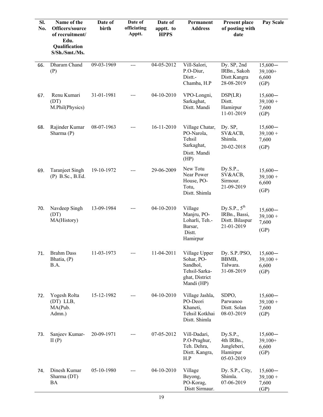| SI.<br>No. | Name of the<br>Officers/source<br>of recruitment/<br>Edu.<br>Qualification<br>S/Sh./Smt./Ms. | Date of<br>birth | Date of<br>officiating<br>Apptt. | Date of<br>apptt. to<br><b>HPPS</b> | Permanent<br><b>Address</b>                                                              | <b>Present place</b><br>of posting with<br>date                     | <b>Pay Scale</b>                         |
|------------|----------------------------------------------------------------------------------------------|------------------|----------------------------------|-------------------------------------|------------------------------------------------------------------------------------------|---------------------------------------------------------------------|------------------------------------------|
| 66.        | Dharam Chand<br>(P)                                                                          | 09-03-1969       | $---$                            | 04-05-2012                          | Vill-Salori,<br>P.O-Diur,<br>Distt.-<br>Chamba, H.P                                      | Dy. SP, 2nd<br>IRBn., Sakoh<br>Distt.Kangra<br>28-08-2019           | $15,600-$<br>$39,100+$<br>6,600<br>(GP)  |
| 67.        | Renu Kumari<br>(DT)<br>M.Phil(Physics)                                                       | 31-01-1981       |                                  | 04-10-2010                          | VPO-Longni,<br>Sarkaghat,<br>Distt. Mandi                                                | DSP(LR)<br>Distt.<br>Hamirpur<br>11-01-2019                         | $15,600-$<br>$39,100 +$<br>7,600<br>(GP) |
| 68.        | Rajinder Kumar<br>Sharma (P)                                                                 | 08-07-1963       |                                  | 16-11-2010                          | Village Chatar,<br>PO-Narola,<br>Tehsil<br>Sarkaghat,<br>Distt. Mandi<br>(HP)            | Dy. SP,<br>SV&ACB,<br>Shimla.<br>20-02-2018                         | $15,600-$<br>$39,100 +$<br>7,600<br>(GP) |
| 69.        | <b>Taranjeet Singh</b><br>$(P)$ B.Sc., B.Ed.                                                 | 19-10-1972       |                                  | 29-06-2009                          | New Totu<br>Near Power<br>House, PO-<br>Totu,<br>Distt. Shimla                           | Dy.S.P.,<br>SV&ACB,<br>Sirmour.<br>21-09-2019                       | $15,600-$<br>$39,100 +$<br>6,600<br>(GP) |
| 70.        | Navdeep Singh<br>(DT)<br>MA(History)                                                         | 13-09-1984       | ---                              | 04-10-2010                          | Village<br>Manjru, PO-<br>Loharli, Teh.-<br>Barsar,<br>Distt.<br>Hamirpur                | Dy.S.P., $5^{th}$<br>IRBn., Bassi,<br>Distt. Bilaspur<br>21-01-2019 | $15,600-$<br>$39,100 +$<br>7,600<br>(GP) |
| 71.        | <b>Brahm Dass</b><br>Bhatia, (P)<br>B.A.                                                     | 11-03-1973       | ---                              | 11-04-2011                          | Village Upper<br>Sohar, PO-<br>Sandhol,<br>Tehsil-Sarka-<br>ghat, District<br>Mandi (HP) | Dy. $S.P./PSO$ ,<br>BBMB,<br>Talwara.<br>31-08-2019                 | $15,600-$<br>$39,100 +$<br>6,600<br>(GP) |
| 72.        | Yogesh Rolta<br>(DT) LLB,<br>MA(Pub.<br>Admn.)                                               | 15-12-1982       |                                  | 04-10-2010                          | Village Jashla,<br>PO-Deori<br>Khaneti,<br>Tehsil Kotkhai<br>Distt. Shimla               | SDPO,<br>Parwanoo<br>Distt. Solan<br>08-03-2019                     | $15,600-$<br>$39,100 +$<br>7,600<br>(GP) |
| 73.        | Sanjeev Kumar-<br>II(P)                                                                      | 20-09-1971       | ---                              | 07-05-2012                          | Vill-Dadari,<br>P.O-Praghur,<br>Teh. Dehra,<br>Distt. Kangra,<br>H.P                     | Dy.S.P.,<br>4th IRBn.,<br>Jungleberi,<br>Hamirpur<br>05-03-2019     | $15,600-$<br>$39,100+$<br>6,600<br>(GP)  |
| 74.        | Dinesh Kumar<br>Sharma (DT)<br>BA                                                            | 05-10-1980       |                                  | 04-10-2010                          | Village<br>Beyong,<br>PO-Korag,<br>Distt Sirmaur.                                        | Dy. S.P., City,<br>Shimla.<br>07-06-2019                            | $15,600-$<br>$39,100 +$<br>7,600<br>(GP) |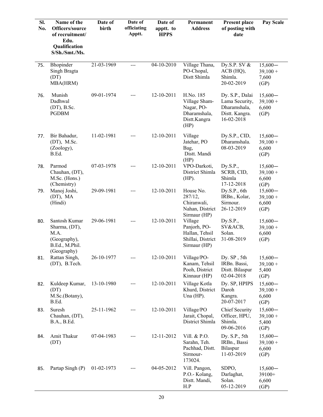| Sl.<br>No. | Name of the<br>Officers/source<br>of recruitment/<br>Edu.<br>Qualification<br>S/Sh./Smt./Ms. | Date of<br>birth | Date of<br>officiating<br>Apptt. | Date of<br>apptt. to<br><b>HPPS</b> | Permanent<br><b>Address</b>                                                      | <b>Present place</b><br>of posting with<br>date                                   | Pay Scale                                |
|------------|----------------------------------------------------------------------------------------------|------------------|----------------------------------|-------------------------------------|----------------------------------------------------------------------------------|-----------------------------------------------------------------------------------|------------------------------------------|
| 75.        | Bhopinder<br>Singh Bragta<br>(DT)<br>MBA(HRM)                                                | 21-03-1969       | $---$                            | 04-10-2010                          | Village Thana,<br>PO-Chopal,<br>Distt Shimla                                     | Dy.S.P. SV $&$<br>ACB (HQ),<br>Shimla.<br>20-02-2019                              | $15,600-$<br>$39,100 +$<br>7,600<br>(GP) |
| 76.        | Munish<br>Dadhwal<br>$(DT)$ , B.Sc.<br><b>PGDBM</b>                                          | 09-01-1974       | $---$                            | 12-10-2011                          | H.No. 185<br>Village Sham-<br>Nagar, PO-<br>Dharamshala,<br>Distt.Kangra<br>(HP) | Dy. S.P., Dalai<br>Lama Security,<br>Dharamshala,<br>Distt. Kangra.<br>16-02-2018 | $15,600-$<br>$39,100 +$<br>6,600<br>(GP) |
| 77.        | Bir Bahadur,<br>$(DT)$ , M.Sc.<br>(Zoology),<br>B.Ed.                                        | 11-02-1981       | ---                              | 12-10-2011                          | Village<br>Jatehar, PO<br>Bag,<br>Distt. Mandi<br>(HP)                           | Dy.S.P., CID,<br>Dharamshala.<br>08-03-2019                                       | $15,600-$<br>$39,100 +$<br>6,600<br>(GP) |
| 78.        | Parmod<br>Chauhan, (DT),<br>M.Sc. (Hons.)<br>(Chemistry)                                     | 07-03-1978       |                                  | 12-10-2011                          | VPO-Darkoti,<br>District Shimla<br>$(HP)$ .                                      | Dy.S.P.,<br>SCRB, CID,<br>Shimla<br>17-12-2018                                    | $15,600-$<br>$39,100 +$<br>6,600<br>(GP) |
| 79.        | Manoj Joshi,<br>(DT), MA<br>(Hindi)                                                          | 29-09-1981       |                                  | 12-10-2011                          | House No.<br>287/12,<br>Chiranwali,<br>Nahan, District<br>Sirmaur (HP)           | Dy.S.P., 6th<br>IRBn., Kolar,<br>Sirmour.<br>26-12-2019                           | $15,600-$<br>$39,100 +$<br>6,600<br>(GP) |
| 80.        | Santosh Kumar<br>Sharma, (DT),<br>M.A.<br>(Geography),<br>B.Ed., M.Phil.<br>(Geography)      | 29-06-1981       | $---$                            | 12-10-2011                          | Village<br>Panjorh, PO-<br>Hallan, Tehsil<br>Shillai, District<br>Sirmaur (HP)   | Dy.S.P.,<br>SV&ACB,<br>Solan.<br>31-08-2019                                       | $15,600-$<br>$39,100 +$<br>6,600<br>(GP) |
| 81.        | Rattan Singh,<br>(DT), B.Tech.                                                               | 26-10-1977       | ---                              | 12-10-2011                          | Village/PO-<br>Kanam, Tehsil<br>Pooh, District<br>Kinnaur (HP)                   | Dy. SP, 5th<br>IRBn. Bassi,<br>Distt. Bilaspur<br>02-04-2018                      | $15,600-$<br>$39,100 +$<br>5,400<br>(GP) |
| 82.        | Kuldeep Kumar,<br>(DT)<br>M.Sc.(Botany),<br>B.Ed.                                            | 13-10-1980       |                                  | 12-10-2011                          | Village Kotla<br>Khurd, District<br>Una $(HP)$ .                                 | Dy. SP, HPIPS<br>Daroh<br>Kangra.<br>20-07-2017                                   | $15,600-$<br>$39,100 +$<br>6,600<br>(GP) |
| 83.        | Suresh<br>Chauhan, (DT),<br>B.A., B.Ed.                                                      | 25-11-1962       | ---                              | 12-10-2011                          | Village/PO<br>Jarait, Chopal,<br>District Shimla                                 | <b>Chief Security</b><br>Officer, HPU,<br>Shimla.<br>09-06-2016                   | $15,600-$<br>$39,100 +$<br>5,400<br>(GP) |
| 84.        | Amit Thakur<br>(DT)                                                                          | 07-04-1983       |                                  | 12-11-2012                          | Vill. & P.O.<br>Sarahn, Teh.<br>Pachhad, Distt.<br>Sirmour-<br>173024.           | Dy. S.P., 5th<br>IRBn., Bassi<br>Bilaspur<br>11-03-2019                           | $15,600-$<br>$39,100 +$<br>6,600<br>(GP) |
| 85.        | Partap Singh (P)                                                                             | 01-02-1973       |                                  | 04-05-2012                          | Vill. Pangon,<br>P.O.- Kolang,<br>Distt. Mandi,<br>H.P                           | SDPO,<br>Darlaghat,<br>Solan.<br>05-12-2019                                       | $15,600-$<br>39100+<br>6,600<br>(GP)     |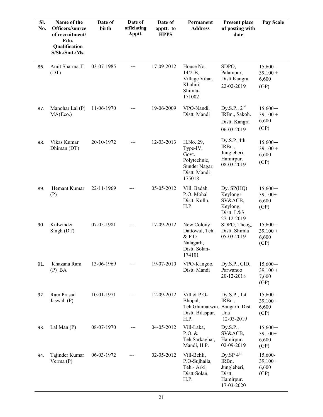| SI.<br>No. | Name of the<br>Officers/source<br>of recruitment/<br>Edu.<br>Qualification<br>S/Sh./Smt./Ms. | Date of<br>birth | Date of<br>officiating<br>Apptt. | Date of<br>apptt. to<br><b>HPPS</b> | Permanent<br><b>Address</b>                                                                | <b>Present place</b><br>of posting with<br>date                                    | Pay Scale                                |
|------------|----------------------------------------------------------------------------------------------|------------------|----------------------------------|-------------------------------------|--------------------------------------------------------------------------------------------|------------------------------------------------------------------------------------|------------------------------------------|
| 86.        | Amit Sharma-II<br>(DT)                                                                       | 03-07-1985       | ---                              | 17-09-2012                          | House No.<br>$14/2 - B$ ,<br>Village Vihar,<br>Khalini,<br>Shimla-<br>171002               | SDPO,<br>Palampur,<br>Distt.Kangra<br>22-02-2019                                   | $15,600-$<br>$39,100 +$<br>6,600<br>(GP) |
| 87.        | Manohar Lal (P)<br>MA(Eco.)                                                                  | 11-06-1970       |                                  | 19-06-2009                          | VPO-Nandi,<br>Distt. Mandi                                                                 | Dy.S.P., $2nd$<br>IRBn., Sakoh.<br>Distt. Kangra<br>06-03-2019                     | $15,600-$<br>$39,100 +$<br>6,600<br>(GP) |
| 88.        | Vikas Kumar<br>Dhiman (DT)                                                                   | 20-10-1972       |                                  | 12-03-2013                          | H.No. 29,<br>Type-IV,<br>Govt.<br>Polytechnic,<br>Sunder Nagar,<br>Distt. Mandi-<br>175018 | Dy.S.P.,4th<br>IRB <sub>n.</sub><br>Jungleberi,<br>Hamirpur.<br>08-03-2019         | $15,600-$<br>$39,100 +$<br>6,600<br>(GP) |
| 89.        | Hemant Kumar<br>(P)                                                                          | 22-11-1969       |                                  | 05-05-2012                          | Vill. Badah<br>P.O. Mohal<br>Distt. Kullu,<br>H.P                                          | Dy. $SP(HQ)$<br>Keylong+<br>SV&ACB,<br>Keylong,<br>Distt. L&S.<br>27-12-2019       | $15,600-$<br>$39,100+$<br>6,600<br>(GP)  |
| 90.        | Kulwinder<br>Singh (DT)                                                                      | 07-05-1981       |                                  | 17-09-2012                          | New Colony<br>Dattowal, Teh.<br>& P.O.<br>Nalagarh,<br>Distt. Solan-<br>174101             | SDPO, Theog,<br>Distt. Shimla<br>05-03-2019                                        | $15,600-$<br>$39,100 +$<br>6,600<br>(GP) |
| 91.        | Khazana Ram<br>$(P)$ BA                                                                      | 13-06-1969       |                                  | 19-07-2010                          | VPO-Kangoo,<br>Distt. Mandi                                                                | Dy.S.P., CID,<br>Parwanoo<br>20-12-2018                                            | $15,600-$<br>$39,100 +$<br>7,600<br>(GP) |
| 92.        | Ram Prasad<br>Jaswal (P)                                                                     | 10-01-1971       |                                  | 12-09-2012                          | Vill & P.O-<br>Bhopal,<br>Teh.Ghumarwin, Bangarh Dist.<br>Distt. Bilaspur,<br>H.P.         | Dy.S.P., 1st<br>IRB <sub>n.</sub><br>Una<br>12-03-2019                             | $15,600-$<br>$39,100+$<br>6,600<br>(GP)  |
| 93.        | Lal Man $(P)$                                                                                | 08-07-1970       |                                  | 04-05-2012                          | Vill-Laka,<br>$P.O.$ &<br>Teh.Sarkaghat,<br>Mandi, H.P.                                    | Dy.S.P.,<br>SV&ACB,<br>Hamirpur.<br>02-09-2019                                     | $15,600-$<br>$39,100+$<br>6,600<br>(GP)  |
| 94.        | Tajinder Kumar<br>Verma $(P)$                                                                | 06-03-1972       |                                  | 02-05-2012                          | Vill-Behli,<br>P.O-Sujhaila,<br>Teh.- Arki,<br>Distt-Solan,<br>H.P.                        | Dy.SP $4^{\text{th}}$<br>IRBn,<br>Jungleberi,<br>Distt.<br>Hamirpur.<br>17-03-2020 | 15,600-<br>$39,100+$<br>6,600<br>(GP)    |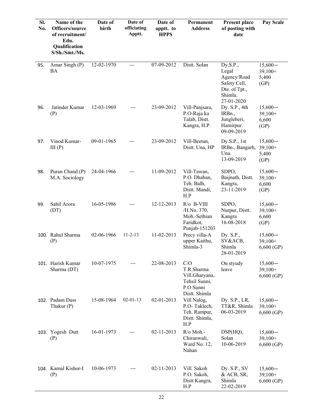| SI.<br>No. | Name of the<br>Officers/source<br>of recruitment/<br>Edu.<br>Qualification<br>S/Sh./Smt./Ms. | Date of<br>birth | Date of<br>officiating<br>Apptt. | Date of<br>apptt. to<br><b>HPPS</b> | Permanent<br><b>Address</b>                                                        | <b>Present place</b><br>of posting with<br>date                                            | Pay Scale                               |
|------------|----------------------------------------------------------------------------------------------|------------------|----------------------------------|-------------------------------------|------------------------------------------------------------------------------------|--------------------------------------------------------------------------------------------|-----------------------------------------|
| 95.        | Amar Singh (P)<br>BA                                                                         | 12-02-1970       | ---                              | 07-09-2012                          | Distt. Solan                                                                       | Dy.S.P.,<br>Legal<br>Agency/Road<br>Safety Cell,<br>Dte. of Tpt.,<br>Shimla.<br>27-01-2020 | $15,600-$<br>$39,100+$<br>5,400<br>(GP) |
| 96.        | Jatinder Kumar<br>(P)                                                                        | 12-03-1969       | ---                              | 23-09-2012                          | Vill-Panjsara,<br>P.O-Raja ka<br>Talab, Distt.<br>Kangra, H.P.                     | Dy. S.P., 4th<br>IRBn.,<br>Jungleberi,<br>Hamirpur.<br>09-09-2019                          | $15,600-$<br>$39,100+$<br>6,600<br>(GP) |
| 97.        | Vinod Kumar-<br>III(P)                                                                       | 09-01-1965       |                                  | 23-09-2012                          | Vill-Beetan,<br>Distt. Una, HP                                                     | Dy.S.P., 1st<br>IRBn., Bangarh,<br>Una.<br>13-09-2019                                      | $15,600-$<br>$39,100+$<br>5,400<br>(GP) |
| 98.        | Puran Chand (P)<br>M.A. Sociology                                                            | 24-04-1966       | ---                              | 11-09-2012                          | Vill-Tawan,<br>P.O. Dhaban,<br>Teh. Balh,<br>Distt. Mandi,<br>H.P                  | SDPO,<br>Baijnath, Distt.<br>Kangra,<br>23-11-2019                                         | $15,600-$<br>$39,100+$<br>6,600<br>(GP) |
| 99.        | Sahil Arora<br>(DT)                                                                          | 16-05-1986       | ---                              | 12-12-2013                          | $R/O$ B-VIII<br>/H.No. 370,<br>Moh.-Sethian<br>Faridkot,<br>Punjab-151203          | SDPO,<br>Nurpur, Distt.<br>Kangra<br>16-08-2018                                            | $15,600-$<br>$39,100+$<br>6,600<br>(GP) |
|            | 100. Rahul Sharma<br>(P)                                                                     | 02-06-1966       | $11 - 2 - 13$                    | 11-02-2013                          | Precy villa-A<br>upper Kaithu,<br>Shimla-3                                         | Dy. S.P.,<br>SV&ACB,<br>Shimla<br>28-01-2019                                               | $15,600-$<br>$39,100+$<br>6,600(GP)     |
|            | 101. Harish Kumar<br>Sharma (DT)                                                             | 10-07-1975       |                                  | 22-08-2013                          | C/O<br>T.R.Sharma<br>Vill.Gharyana,<br>Tehsil Sunni,<br>P.O Sunni<br>Distt. Shimla | On styudy<br>leave                                                                         | $15,600-$<br>$39,100+$<br>$6,600$ (GP)  |
|            | 102. Padam Dass<br>Thakur (P)                                                                | 15-08-1964       | $02 - 01 - 13$                   | 02-01-2013                          | Vill Nalog,<br>P.O-Taklech,<br>Teh. Rampur,<br>Distt. Shimla,<br>H.P               | Dy. $S.P., LR,$<br>TT&R, Shimla<br>06-03-2019                                              | $15,600-$<br>$39,100+$<br>6,600(GP)     |
|            | 103. Yogesh Dutt<br>(P)                                                                      | 16-01-1973       |                                  | 02-11-2013                          | R/o Moh.-<br>Chiranwali,<br>Ward No. 12,<br>Nahan                                  | DSP(HQ),<br>Solan<br>10-06-2019                                                            | $15,600-$<br>$39,100+$<br>6,600(GP)     |
|            | 104. Kamal Kishor-I<br>(P)                                                                   | 10-06-1973       |                                  | 02-11-2013                          | Vill. Sakoh<br>P.O. Sakoh,<br>Distt Kangra,<br>H.P                                 | Dy. $S.P., SV$<br>& ACB, SR,<br>Shimla<br>22-02-2019                                       | $15,600-$<br>$39,100+$<br>$6,600$ (GP)  |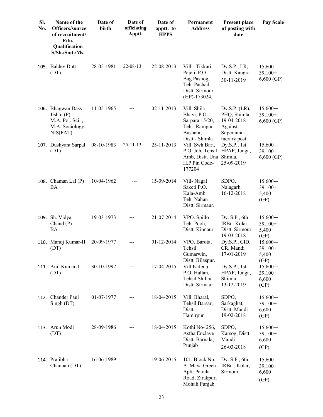| SI.<br>No. | Name of the<br>Officers/source<br>of recruitment/<br>Edu.<br>Qualification<br>S/Sh./Smt./Ms. | Date of<br>birth | Date of<br>officiating<br>Apptt. | Date of<br>apptt. to<br><b>HPPS</b> | Permanent<br><b>Address</b>                                                                         | Present place<br>of posting with<br>date                                               | Pay Scale                               |
|------------|----------------------------------------------------------------------------------------------|------------------|----------------------------------|-------------------------------------|-----------------------------------------------------------------------------------------------------|----------------------------------------------------------------------------------------|-----------------------------------------|
|            | 105. Baldev Dutt<br>(DT)                                                                     | 28-05-1981       | 22-08-13                         | 22-08-2013                          | Vill.- Tikkari,<br>Pajeli, P.O<br>Bag Pashog,<br>Teh. Pachad,<br>Distt. Sirmour<br>$(HP) - 173024.$ | Dy.S.P., LR,<br>Distt. Kangra.<br>30-11-2019                                           | $15,600-$<br>$39,100+$<br>$6,600$ (GP)  |
|            | 106. Bhagwan Dass<br>Jishtu $(P)$<br>M.A. Pol. Sci.,<br>M.A. Sociology,<br>NIS(PAT)          | 11-05-1965       |                                  | 02-11-2013                          | Vill. Shila<br>Bhavi, P.O-<br>Sarpara 15/20,<br>Teh.- Rampur<br>Bushahr,<br>Distt.- Shimla          | Dy.S.P. $(LR)$ ,<br>PHQ, Shimla<br>19-04-2018<br>Against<br>Superannu-<br>merary post. | $15,600-$<br>$39,100+$<br>6,600(GP)     |
|            | 107. Dushyant Sarpal<br>(DT)                                                                 | 08-10-1983       | $25 - 11 - 13$                   | 25-11-2013                          | Vill. Swh Bari,<br>P.O. Joh, Tehsil<br>Amb, Distt. Una<br>H.P Pin Code-<br>177204                   | Dy.S.P., 1st<br>HPAP, Junga,<br>Shimla.<br>25-09-2019                                  | $15,600-$<br>$39,100+$<br>6,600(GP)     |
|            | 108. Chaman Lal (P)<br><b>BA</b>                                                             | 10-04-1962       |                                  | 15-09-2014                          | Vill-Nagal<br>Saketi P.O.<br>Kala-Amb<br>Teh. Nahan<br>Distt. Sirmaur.                              | SDPO,<br>Nalagarh<br>16-12-2018                                                        | $15,600-$<br>$39,100+$<br>5,400<br>(GP) |
|            | 109. Sh. Vidya<br>Chand $(P)$<br>BA                                                          | 19-03-1973       |                                  | 21-07-2014                          | VPO. Spillo<br>Teh. Pooh,<br>Distt. Kinnaur                                                         | Dy. S.P., 6th<br>IRBn. Kolar,<br>Distt. Sirmour<br>19-03-2018                          | $15,600-$<br>$39,100+$<br>5,400<br>(GP) |
|            | 110. Manoj Kumar-II<br>(DT)                                                                  | 20-09-1977       |                                  | 01-12-2014                          | VPO. Barota,<br>Tehsil<br>Gumarwin,<br>Distt. Bilaspur.                                             | Dy.S.P., CID,<br>CR, Mandi<br>17-01-2019                                               | $15,600-$<br>$39,100+$<br>5,400<br>(GP) |
|            | 111. Anil Kumar-I<br>(DT)                                                                    | 30-10-1992       |                                  | 17-04-2015                          | Vill Kafenu<br>P.O. Hallan,<br>Tehsil Shillai<br>Distt. Sirmaur                                     | Dy.S.P., 1st<br>HPAP, Junga,<br>Shimla.<br>13-12-2019                                  | $15,600-$<br>$39,100+$<br>6,600<br>(GP) |
|            | 112. Chander Paul<br>Singh (DT)                                                              | 01-07-1977       | ---                              | 18-04-2015                          | Vill. Bharal,<br>Tehsil Barsar,<br>Distt.<br>Hamirpur                                               | SDPO,<br>Sarkaghat,<br>Distt. Mandi<br>19-02-2018                                      | $15,600-$<br>$39,100+$<br>6,600<br>(GP) |
|            | 113. Arun Modi<br>(DT)                                                                       | 28-09-1986       | ---                              | 18-04-2015                          | Kothi No-256,<br>Astha Enclave<br>Distt. Barnala,<br>Punjab                                         | SDPO,<br>Karsog, Distt.<br>Mandi<br>26-03-2018                                         | $15,600-$<br>$39,100+$<br>6,600<br>(GP) |
|            | 114. Pratibha<br>Chauhan (DT)                                                                | 16-06-1989       |                                  | 19-06-2015                          | 101, Block No.-<br>A Maya Green<br>Aptt. Patiala<br>Road, Zirakpur,<br>Mohali Punjab.               | Dy. S.P., 6th<br>IRBn., Kolar,<br>Sirmour                                              | $15,600-$<br>$39,100+$<br>6,600<br>(GP) |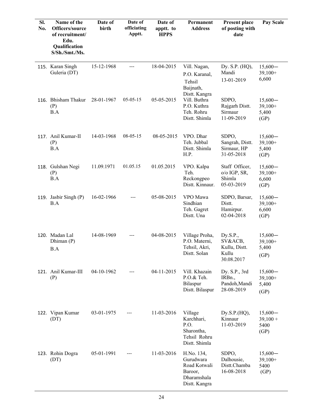| SI.<br>No. | Name of the<br>Officers/source<br>of recruitment/<br>Edu.<br><b>Qualification</b><br>S/Sh./Smt./Ms. | Date of<br>birth | Date of<br>officiating<br>Apptt. | Date of<br>apptt. to<br><b>HPPS</b> | Permanent<br><b>Address</b>                                                        | <b>Present place</b><br>of posting with<br>date             | Pay Scale                               |
|------------|-----------------------------------------------------------------------------------------------------|------------------|----------------------------------|-------------------------------------|------------------------------------------------------------------------------------|-------------------------------------------------------------|-----------------------------------------|
|            | 115. Karan Singh<br>Guleria (DT)                                                                    | 15-12-1968       | ---                              | 18-04-2015                          | Vill. Nagan,<br>P.O. Karanal,<br>Tehsil<br>Baijnath,<br>Distt. Kangra              | Dy. S.P. (HQ),<br>Mandi<br>13-01-2019                       | $15,600-$<br>$39,100+$<br>6,600         |
|            | 116. Bhisham Thakur<br>(P)<br>B.A                                                                   | 28-01-1967       | $05 - 05 - 15$                   | 05-05-2015                          | Vill. Buthra<br>P.O. Kuthra<br>Teh. Rohru<br>Distt. Shimla                         | SDPO,<br>Rajgarh Distt.<br>Sirmaur<br>11-09-2019            | $15,600-$<br>$39,100+$<br>5,400<br>(GP) |
|            | 117. Anil Kumar-II<br>(P)<br>B.A                                                                    | 14-03-1968       | $08-05-15$                       | 08-05-2015                          | VPO. Dhar<br>Teh. Jubbal<br>Distt. Shimla<br>H.P.                                  | SDPO,<br>Sangrah, Distt.<br>Sirmaur, HP<br>31-05-2018       | $15,600-$<br>$39,100+$<br>5,400<br>(GP) |
|            | 118. Gulshan Negi<br>(P)<br>B.A                                                                     | 11.09.1971       | 01.05.15                         | 01.05.2015                          | VPO. Kalpa<br>Teh.<br>Reckongpeo<br>Distt. Kinnaur.                                | Staff Officer,<br>o/o IGP, SR,<br>Shimla<br>05-03-2019      | $15,600-$<br>$39,100+$<br>6,600<br>(GP) |
|            | 119. Jasbir Singh (P)<br>B.A                                                                        | 16-02-1966       |                                  | 05-08-2015                          | VPO Mawa<br>Sindhian<br>Teh. Gagret<br>Distt. Una                                  | SDPO, Barsar,<br>Distt.<br>Hamirpur.<br>02-04-2018          | $15,600-$<br>$39,100+$<br>6,600<br>(GP) |
|            | 120. Madan Lal<br>Dhiman (P)<br>B.A                                                                 | 14-08-1969       |                                  | 04-08-2015                          | Village Proha,<br>P.O. Materni,<br>Tehsil, Akri,<br>Distt. Solan                   | Dy.S.P.,<br>SV&ACB,<br>Kullu, Distt.<br>Kullu<br>30.08.2017 | $15,600-$<br>$39,100+$<br>5,400<br>(GP) |
|            | 121. Anil Kumar-III<br>(P)                                                                          | 04-10-1962       |                                  | 04-11-2015                          | Vill. Khazain<br>P.O.& Teh.<br>Bilaspur<br>Distt. Bilaspur                         | Dy. S.P., 3rd<br>IRBn.,<br>Pandoh, Mandi<br>28-08-2019      | $15,600-$<br>$39,100+$<br>5,400<br>(GP) |
|            | 122. Vipan Kumar<br>(DT)                                                                            | 03-01-1975       |                                  | 11-03-2016                          | Village<br>Karchhari,<br>P.O.<br>Sharontha,<br>Tehsil Rohru<br>Distt. Shimla       | Dy.S.P.(HQ),<br>Kinnaur<br>11-03-2019                       | $15,600-$<br>$39,100 +$<br>5400<br>(GP) |
|            | 123. Rohin Dogra<br>(DT)                                                                            | 05-01-1991       |                                  | 11-03-2016                          | H.No. 134,<br>Gurudwara<br>Road Kotwali<br>Baroor,<br>Dharamshala<br>Distt. Kangra | SDPO,<br>Dalhousie,<br>Distt.Chamba<br>16-08-2018           | $15,600-$<br>$39,100+$<br>5400<br>(GP)  |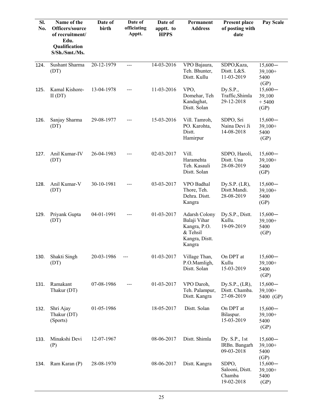| SI.<br>No. | Name of the<br>Officers/source<br>of recruitment/<br>Edu.<br>Qualification<br>S/Sh./Smt./Ms. | Date of<br>birth | Date of<br>officiating<br>Apptt. | Date of<br>apptt. to<br><b>HPPS</b> | Permanent<br><b>Address</b>                                                                  | Present place<br>of posting with<br>date         | Pay Scale                                      |
|------------|----------------------------------------------------------------------------------------------|------------------|----------------------------------|-------------------------------------|----------------------------------------------------------------------------------------------|--------------------------------------------------|------------------------------------------------|
| 124.       | Sushant Sharma<br>(DT)                                                                       | 20-12-1979       | ---                              | 14-03-2016                          | VPO Bajaura,<br>Teh. Bhunter,<br>Distt. Kullu                                                | SDPO, Kaza,<br>Distt. L&S.<br>11-03-2019         | $15,600-$<br>$39,100+$<br>5400                 |
| 125.       | Kamal Kishore-<br>II(DT)                                                                     | 13-04-1978       |                                  | 11-03-2016                          | VPO,<br>Domehar, Teh<br>Kandaghat,<br>Distt. Solan                                           | Dy.S.P.,<br>Traffic, Shimla<br>29-12-2018        | (GP)<br>$15,600-$<br>39,100<br>$+5400$<br>(GP) |
| 126.       | Sanjay Sharma<br>(DT)                                                                        | 29-08-1977       |                                  | 15-03-2016                          | Vill. Tamroh,<br>PO. Karohta,<br>Distt.<br>Hamirpur                                          | SDPO, Sri<br>Naina Devi Ji<br>14-08-2018         | $15,600-$<br>$39,100+$<br>5400<br>(GP)         |
| 127.       | Anil Kumar-IV<br>(DT)                                                                        | 26-04-1983       |                                  | 02-03-2017                          | Vill.<br>Haramehta<br>Teh. Kasauli<br>Distt. Solan                                           | SDPO, Haroli,<br>Distt. Una<br>28-08-2019        | $15,600-$<br>$39,100+$<br>5400<br>(GP)         |
| 128.       | Anil Kumar-V<br>(DT)                                                                         | 30-10-1981       |                                  | 03-03-2017                          | VPO Badhal<br>Thore, Teh.<br>Dehra. Distt.<br>Kangra                                         | Dy.S.P. $(LR)$ ,<br>Distt.Mandi.<br>28-08-2019   | $15,600-$<br>$39,100+$<br>5400<br>(GP)         |
| 129.       | Priyank Gupta<br>(DT)                                                                        | 04-01-1991       |                                  | 01-03-2017                          | <b>Adarsh Colony</b><br>Balaji Vihar<br>Kangra, P.O.<br>& Tehsil<br>Kangra, Distt.<br>Kangra | Dy.S.P., Distt.<br>Kullu.<br>19-09-2019          | $15,600-$<br>$39,100+$<br>5400<br>(GP)         |
| 130.       | Shakti Singh<br>(DT)                                                                         | 20-03-1986       |                                  | 01-03-2017                          | Village Than,<br>P.O.Mamligh,<br>Distt. Solan                                                | On DPT at<br>Kullu<br>15-03-2019                 | $15,600-$<br>$39,100+$<br>5400<br>(GP)         |
| 131.       | Ramakant<br>Thakur (DT)                                                                      | 07-08-1986       |                                  | 01-03-2017                          | VPO Daroh,<br>Teh. Palampur,<br>Distt. Kangra                                                | Dy.S.P., (LR),<br>Distt. Chamba.<br>27-08-2019   | $15,600-$<br>$39,100+$<br>5400 (GP)            |
| 132.       | Shri Ajay<br>Thakur (DT)<br>(Sports)                                                         | 01-05-1986       |                                  | 18-05-2017                          | Distt. Solan                                                                                 | On DPT at<br>Bilaspur.<br>15-03-2019             | $15,600-$<br>$39,100+$<br>5400<br>(GP)         |
| 133.       | Minakshi Devi<br>(P)                                                                         | 12-07-1967       |                                  | 08-06-2017                          | Distt. Shimla                                                                                | Dy. $S.P.,$ 1st<br>IRBn. Bangarh<br>09-03-2018   | $15,600-$<br>$39,100+$<br>5400                 |
| 134.       | Ram Karan (P)                                                                                | 28-08-1970       |                                  | 08-06-2017                          | Distt. Kangra                                                                                | SDPO,<br>Salooni, Distt.<br>Chamba<br>19-02-2018 | (GP)<br>$15,600-$<br>$39,100+$<br>5400<br>(GP) |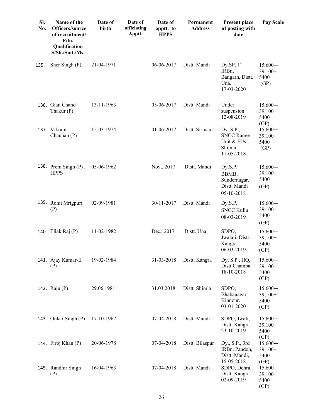| SI.<br>No. | Name of the<br>Officers/source<br>of recruitment/<br>Edu.<br>Qualification<br>S/Sh./Smt./Ms. | Date of<br>birth | Date of<br>officiating<br>Apptt. | Date of<br>apptt. to<br><b>HPPS</b> | Permanent<br><b>Address</b> | <b>Present place</b><br>of posting with<br>date                              | Pay Scale                              |
|------------|----------------------------------------------------------------------------------------------|------------------|----------------------------------|-------------------------------------|-----------------------------|------------------------------------------------------------------------------|----------------------------------------|
| 135.       | Sher Singh (P)                                                                               | 21-04-1971       |                                  | 06-06-2017                          | Distt. Mandi                | $Dy$ .SP, $1st$<br>IRB <sub>n</sub><br>Bangarh, Distt.<br>Una.<br>17-03-2020 | $15,600-$<br>39,100+<br>5400<br>(GP)   |
|            | 136. Gian Chand<br>Thakur (P)                                                                | 13-11-1963       |                                  | 05-06-2017                          | Distt. Mandi                | Under<br>suspension<br>12-08-2019                                            | $15,600-$<br>$39,100+$<br>5400<br>(GP) |
|            | 137. Vikram<br>Chauhan (P)                                                                   | 15-03-1974       |                                  | 01-06-2017                          | Distt. Sirmaur              | Dy. S.P.,<br><b>SNCC Range</b><br>Unit & FUs,<br>Shimla<br>11-05-2018        | $15,600-$<br>$39,100+$<br>5400<br>(GP) |
|            | 138. Prem Singh $(P)$ ,<br><b>HPPS</b>                                                       | 05-06-1962       |                                  | Nov., 2017                          | Distt. Mandi                | Dy.S.P.<br>BBMB,<br>Sundernagar,<br>Distt. Mandi<br>05-10-2018               | $15,600-$<br>$39,100+$<br>5400<br>(GP) |
|            | 139. Rohit Mrigpuri<br>(P)                                                                   | 02-09-1981       |                                  | 30-11-2017                          | Distt. Mandi                | Dy.S.P,<br><b>SNCC Kullu.</b><br>08-03-2019                                  | $15,600-$<br>$39,100+$<br>5400<br>(GP) |
|            | 140. Tilak Raj (P)                                                                           | 11-02-1982       |                                  | Dec., 2017                          | Distt. Una                  | SDPO,<br>Jwalaji, Distt.<br>Kangra.<br>06-03-2019                            | $15,600-$<br>$39,100+$<br>5400<br>(GP) |
|            | 141. Ajay Kumar-II<br>(P)                                                                    | 19-02-1984       |                                  | 31-03-2018                          | Distt. Kangra               | Dy. S.P., HQ,<br>Distt.Chamba<br>18-10-2018                                  | $15,600-$<br>$39,100+$<br>5400<br>(GP) |
|            | 142. Raju (P)                                                                                | 29.06.1981       |                                  | 31.03.2018                          | Distt. Shimla               | SDPO,<br>Bhabanagar,<br>Kinnour.<br>03-01-2020                               | $15,600-$<br>$39,100+$<br>5400<br>(GP) |
|            | 143. Onkar Singh (P)                                                                         | 17-10-1962       |                                  | 07-04-2018                          | Distt. Mandi                | SDPO, Jwali,<br>Distt. Kangra.<br>23-10-2019                                 | $15,600-$<br>$39,100+$<br>5400<br>(GP) |
|            | 144. Firoj Khan (P)                                                                          | 20-06-1978       |                                  | 07-04-2018                          | Distt. Bilaspur             | Dy., S.P., 3rd<br>IRBn. Pandoh,<br>Distt. Mandi,<br>15-05-2018               | $15,600-$<br>$39,100+$<br>5400<br>(GP) |
|            | 145. Randhir Singh<br>(P)                                                                    | 16-04-1963       |                                  | 07-04-2018                          | Distt. Mandi                | SDPO, Dehra,<br>Distt. Kangra.<br>02-09-2019                                 | $15,600-$<br>$39,100+$<br>5400<br>(GP) |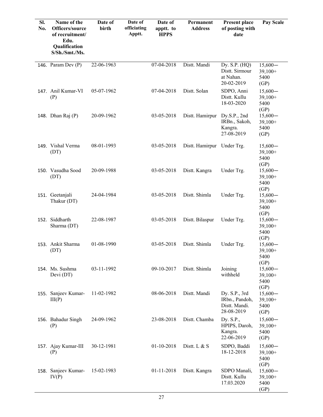| SI.<br>No. | Name of the<br>Officers/source<br>of recruitment/<br>Edu.<br>Qualification<br>S/Sh./Smt./Ms. | Date of<br>birth | Date of<br>officiating<br>Apptt. | Date of<br>apptt. to<br><b>HPPS</b> | Permanent<br><b>Address</b> | <b>Present place</b><br>of posting with<br>date                | Pay Scale                              |
|------------|----------------------------------------------------------------------------------------------|------------------|----------------------------------|-------------------------------------|-----------------------------|----------------------------------------------------------------|----------------------------------------|
|            |                                                                                              |                  |                                  |                                     |                             |                                                                |                                        |
|            | 146. Param Dev $(P)$                                                                         | 22-06-1963       |                                  | 07-04-2018                          | Distt. Mandi                | Dy. $S.P. (HQ)$<br>Distt. Sirmour<br>at Nahan.<br>20-02-2019   | $15,600-$<br>$39,100+$<br>5400<br>(GP) |
|            | 147. Anil Kumar-VI<br>(P)                                                                    | 05-07-1962       |                                  | 07-04-2018                          | Distt. Solan                | SDPO, Anni<br>Distt. Kullu<br>18-03-2020                       | $15,600-$<br>$39,100+$<br>5400<br>(GP) |
|            | 148. Dhan Raj (P)                                                                            | 20-09-1962       |                                  | 03-05-2018                          | Distt. Hamirpur             | Dy.S.P., 2nd<br>IRBn., Sakoh,<br>Kangra.<br>27-08-2019         | $15,600-$<br>$39,100+$<br>5400<br>(GP) |
|            | 149. Vishal Verma<br>(DT)                                                                    | 08-01-1993       |                                  | 03-05-2018                          | Distt. Hamirpur Under Trg.  |                                                                | $15,600-$<br>$39,100+$<br>5400<br>(GP) |
|            | 150. Vasudha Sood<br>(DT)                                                                    | 20-09-1988       |                                  | 03-05-2018                          | Distt. Kangra               | Under Trg.                                                     | $15,600-$<br>$39,100+$<br>5400<br>(GP) |
|            | 151. Geetanjali<br>Thakur (DT)                                                               | 24-04-1984       |                                  | 03-05-2018                          | Distt. Shimla               | Under Trg.                                                     | $15,600-$<br>$39,100+$<br>5400<br>(GP) |
|            | 152. Siddharth<br>Sharma (DT)                                                                | 22-08-1987       |                                  | 03-05-2018                          | Distt. Bilaspur             | Under Trg.                                                     | $15,600-$<br>$39,100+$<br>5400<br>(GP) |
|            | 153. Ankit Sharma<br>(DT)                                                                    | 01-08-1990       |                                  | 03-05-2018                          | Distt. Shimla               | Under Trg.                                                     | $15,600-$<br>$39,100+$<br>5400<br>(GP) |
|            | 154. Ms. Sushma<br>Devi (DT)                                                                 | 03-11-1992       |                                  | 09-10-2017                          | Distt. Shimla               | Joining<br>withheld                                            | $15,600-$<br>$39,100+$<br>5400<br>(GP) |
|            | 155. Sanjeev Kumar-<br>III(P)                                                                | 11-02-1982       |                                  | 08-06-2018                          | Distt. Mandi                | Dy. S.P., 3rd<br>IRbn., Pandoh,<br>Distt. Mandi.<br>28-08-2019 | $15,600-$<br>$39,100+$<br>5400<br>(GP) |
|            | 156. Bahadur Singh<br>(P)                                                                    | 24-09-1962       |                                  | 23-08-2018                          | Distt. Chamba               | Dy. S.P.,<br>HPIPS, Daroh,<br>Kangra.<br>22-06-2019            | $15,600-$<br>$39,100+$<br>5400<br>(GP) |
|            | 157. Ajay Kumar-III<br>(P)                                                                   | 30-12-1981       |                                  | 01-10-2018                          | Distt. L $& S$              | SDPO, Baddi<br>18-12-2018                                      | $15,600-$<br>$39,100+$<br>5400<br>(GP) |
|            | 158. Sanjeev Kumar-<br>IV(P)                                                                 | 15-02-1983       |                                  | 01-11-2018                          | Distt. Kangra               | SDPO Manali,<br>Distt. Kullu<br>17.03.2020                     | $15,600-$<br>$39,100+$<br>5400<br>(GP) |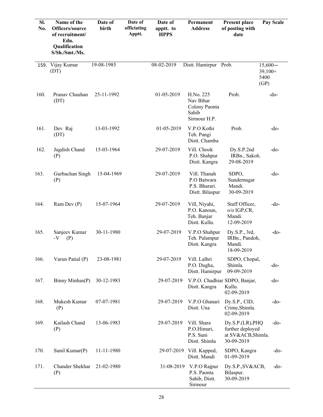| SI.<br>No. | Name of the<br>Officers/source<br>of recruitment/<br>Edu.<br>Qualification<br>S/Sh./Smt./Ms. | Date of<br>birth | Date of<br>officiating<br>Apptt. | Date of<br>apptt. to<br><b>HPPS</b> | Permanent<br><b>Address</b>                                      | <b>Present place</b><br>of posting with<br>date                          | Pay Scale                              |
|------------|----------------------------------------------------------------------------------------------|------------------|----------------------------------|-------------------------------------|------------------------------------------------------------------|--------------------------------------------------------------------------|----------------------------------------|
| 159.       | Vijay Kumar<br>(DT)                                                                          | 19-08-1985       |                                  | $08 - 02 - 2019$                    | Distt. Hamirpur Prob.                                            |                                                                          | $15,600-$<br>$39,100+$<br>5400<br>(GP) |
| 160.       | Pranav Chauhan<br>(DT)                                                                       | 25-11-1992       |                                  | 01-05-2019                          | H.No. 225<br>Nav Bihar<br>Colony Paonta<br>Sahib<br>Sirmour H.P. | Prob.                                                                    | $-do$                                  |
| 161.       | Dev Raj<br>(DT)                                                                              | 13-03-1992       |                                  | 01-05-2019                          | V.P.O Kothi<br>Teh. Pangi<br>Distt. Chamba                       | Prob.                                                                    | -do-                                   |
| 162.       | Jagdish Chand<br>(P)                                                                         | 15-03-1964       |                                  | 29-07-2019                          | Vill. Chook<br>P.O. Shahpur<br>Distt. Kangra                     | Dy.S.P.2nd<br>IRBn., Sakoh.<br>29-08-2019                                | $-do-$                                 |
| 163.       | Gurbachan Singh<br>(P)                                                                       | 15-04-1969       |                                  | 29-07-2019                          | Vill. Thanah<br>P.O Batwara<br>P.S. Bharari.<br>Distt. Bilaspur  | SDPO,<br>Sundernagar<br>Mandi.<br>30-09-2019                             | -do-                                   |
| 164.       | Ram Dev (P)                                                                                  | 15-07-1964       |                                  | 29-07-2019                          | Vill, Niyahi,<br>P.O. Kanoun,<br>Teh. Banjar<br>Distt. Kullu.    | Staff Officer,<br>$o/o$ IGP,CR,<br>Mandi.<br>12-09-2019                  | $-do-$                                 |
| 165.       | Sanjeev Kumar<br>$-V$<br>(P)                                                                 | 30-11-1980       |                                  | 29-07-2019                          | V.P.O Shahpur<br>Teh. Palampur<br>Distt. Kangra                  | Dy.S.P., 3rd,<br>IRBn., Pandoh,<br>Mandi.<br>18-09-2019                  | $-do-$                                 |
| 166.       | Varun Patial (P)                                                                             | 23-08-1981       |                                  | 29-07-2019                          | Vill. Lalhri<br>P.O. Dugha,<br>Distt. Hamirpur                   | SDPO, Chopal,<br>Shimla.<br>09-09-2019                                   | -do-                                   |
| 167.       | Binny Minhas(P)                                                                              | 30-12-1983       |                                  | 29-07-2019                          | Distt. Kangra                                                    | V.P.O. Chadhiar SDPO, Banjar,<br>Kullu.<br>02-09-2019                    | -do-                                   |
| 168.       | Mukesh Kumar<br>(P)                                                                          | 07-07-1981       |                                  | 29-07-2019                          | V.P.O Ghanari<br>Distt. Una                                      | Dy.S.P., CID,<br>Crime, Shimla.<br>02-09-2019                            | $-do-$                                 |
| 169.       | Kailash Chand<br>(P)                                                                         | 13-06-1983       |                                  | 29-07-2019                          | Vill. Shara<br>P.O.Himari,<br>P.S. Suni<br>Distt. Shimla         | Dy.S.P.(LR), PHQ<br>further deployed<br>at SV&ACB, Shimla.<br>30-09-2019 | -do-                                   |
| 170.       | Sunil Kumar(P)                                                                               | 11-11-1980       |                                  | 29-07-2019                          | Vill. Kupped,<br>Distt. Mandi                                    | SDPO, Kangra<br>01-09-2019                                               | -do-                                   |
| 171.       | Chander Shekhar<br>(P)                                                                       | 21-02-1980       |                                  | 31-08-2019                          | V.P.O Rajpur<br>P.S. Paonta<br>Sahib, Distt.<br>Sirmour          | Dy.S.P., SV&ACB,<br>Bilaspur.<br>30-09-2019                              | -do-                                   |